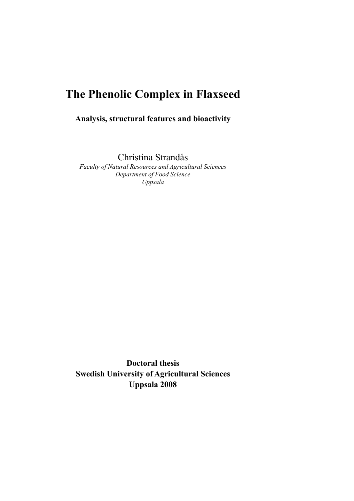# **The Phenolic Complex in Flaxseed**

# **Analysis, structural features and bioactivity**

Christina Strandås

*Faculty of Natural Resources and Agricultural Sciences Department of Food Science Uppsala*

**Doctoral thesis Swedish University of Agricultural Sciences Uppsala 2008**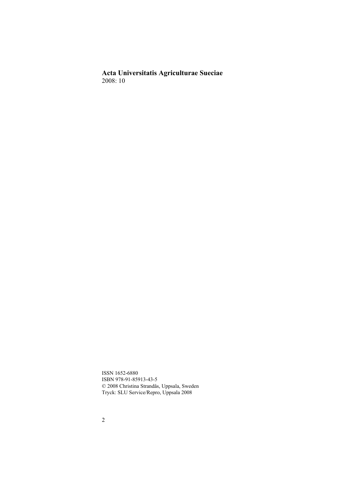**Acta Universitatis Agriculturae Sueciae**  2008: 10

ISSN 1652-6880 ISBN 978-91-85913-43-5 © 2008 Christina Strandås, Uppsala, Sweden Tryck: SLU Service/Repro, Uppsala 2008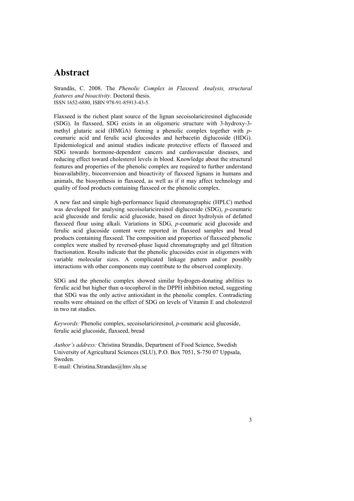## **Abstract**

Strandås, C. 2008. The *Phenolic Complex in Flaxseed. Analysis, structural features and bioactivity.* Doctoral thesis. ISSN 1652-6880, ISBN 978-91-85913-43-5.

Flaxseed is the richest plant source of the lignan secoisolariciresinol diglucoside (SDG). In flaxseed, SDG exists in an oligomeric structure with 3-hydroxy-3 methyl glutaric acid (HMGA) forming a phenolic complex together with *p*coumaric acid and ferulic acid glucosides and herbacetin diglucoside (HDG). Epidemiological and animal studies indicate protective effects of flaxseed and SDG towards hormone-dependent cancers and cardiovascular diseases, and reducing effect toward cholesterol levels in blood. Knowledge about the structural features and properties of the phenolic complex are required to further understand bioavailability, bioconversion and bioactivity of flaxseed lignans in humans and animals, the biosynthesis in flaxseed, as well as if it may affect technology and quality of food products containing flaxseed or the phenolic complex.

A new fast and simple high-performance liquid chromatographic (HPLC) method was developed for analysing secoisolariciresinol diglucoside (SDG), *p*-coumaric acid glucoside and ferulic acid glucoside, based on direct hydrolysis of defatted flaxseed flour using alkali. Variations in SDG, *p*-coumaric acid glucoside and ferulic acid glucoside content were reported in flaxseed samples and bread products containing flaxseed. The composition and properties of flaxseed phenolic complex were studied by reversed-phase liquid chromatography and gel filtration fractionation. Results indicate that the phenolic glucosides exist in oligomers with variable molecular sizes. A complicated linkage pattern and/or possibly interactions with other components may contribute to the observed complexity.

SDG and the phenolic complex showed similar hydrogen-donating abilities to ferulic acid but higher than α-tocopherol in the DPPH inhibition metod, suggesting that SDG was the only active antioxidant in the phenolic complex. Contradicting results were obtained on the effect of SDG on levels of Vitamin E and cholesterol in two rat studies.

*Keywords:* Phenolic complex, secoisolariciresinol, *p*-coumaric acid glucoside, ferulic acid glucoside, flaxseed, bread

*Author's address:* Christina Strandås, Department of Food Science, Swedish University of Agricultural Sciences (SLU), P.O. Box 7051, S-750 07 Uppsala, Sweden.

E-mail: Christina.Strandas@lmv.slu.se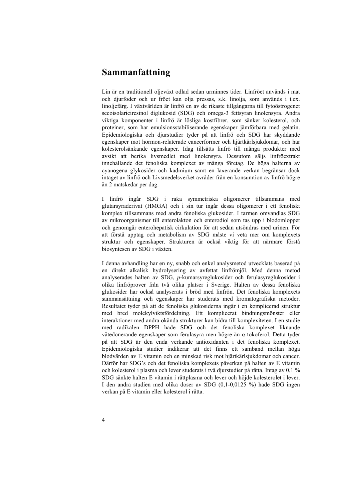## **Sammanfattning**

Lin är en traditionell oljeväxt odlad sedan urminnes tider. Linfröet används i mat och djurfoder och ur fröet kan olja pressas, s.k. linolja, som används i t.ex. linoljefärg. I växtvärlden är linfrö en av de rikaste tillgångarna till fytoöstrogenet secoisolariciresinol diglukosid (SDG) och omega-3 fettsyran linolensyra. Andra viktiga komponenter i linfrö är lösliga kostfibrer, som sänker kolesterol, och proteiner, som har emulsionsstabiliserande egenskaper jämförbara med gelatin. Epidemiologiska och djurstudier tyder på att linfrö och SDG har skyddande egenskaper mot hormon-relaterade cancerformer och hjärtkärlsjukdomar, och har kolesterolsänkande egenskaper. Idag tillsätts linfrö till många produkter med avsikt att berika livsmedlet med linolensyra. Dessutom säljs linfröextrakt innehållande det fenoliska komplexet av många företag. De höga halterna av cyanogena glykosider och kadmium samt en laxerande verkan begränsar dock intaget av linfrö och Livsmedelsverket avråder från en konsumtion av linfrö högre än 2 matskedar per dag.

I linfrö ingår SDG i raka symmetriska oligomerer tillsammans med glutarsyraderivat (HMGA) och i sin tur ingår dessa oligomerer i ett fenoliskt komplex tillsammans med andra fenoliska glukosider. I tarmen omvandlas SDG av mikroorganismer till enterolakton och enterodiol som tas upp i blodomloppet och genomgår enterohepatisk cirkulation för att sedan utsöndras med urinen. För att förstå upptag och metabolism av SDG måste vi veta mer om komplexets struktur och egenskaper. Strukturen är också viktig för att närmare förstå biosyntesen av SDG i växten.

I denna avhandling har en ny, snabb och enkel analysmetod utvecklats baserad på en direkt alkalisk hydrolysering av avfettat linfrömjöl. Med denna metod analyserades halten av SDG, *p*-kumarsyreglukosider och ferulasyreglukosider i olika linfröprover från två olika platser i Sverige. Halten av dessa fenoliska glukosider har också analyserats i bröd med linfrön. Det fenoliska komplexets sammansättning och egenskaper har studerats med kromatografiska metoder. Resultatet tyder på att de fenoliska glukosiderna ingår i en komplicerad struktur med bred molekylviktsfördelning. Ett komplicerat bindningsmönster eller interaktioner med andra okända strukturer kan bidra till komplexiteten. I en studie med radikalen DPPH hade SDG och det fenoliska komplexet liknande vätedonerande egenskaper som ferulasyra men högre än α-tokoferol. Detta tyder på att SDG är den enda verkande antioxidanten i det fenoliska komplexet. Epidemiologiska studier indikerar att det finns ett samband mellan höga blodvärden av E vitamin och en minskad risk mot hjärtkärlsjukdomar och cancer. Därför har SDG's och det fenoliska komplexets påverkan på halten av E vitamin och kolesterol i plasma och lever studerats i två djurstudier på råtta. Intag av 0,1 % SDG sänkte halten E vitamin i råttplasma och lever och höjde kolesterolet i lever. I den andra studien med olika doser av SDG (0,1-0,0125 %) hade SDG ingen verkan på E vitamin eller kolesterol i råtta.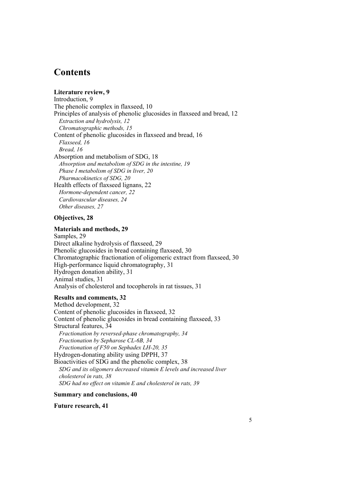## **Contents**

## **Literature review, 9**

Introduction, 9 The phenolic complex in flaxseed, 10 Principles of analysis of phenolic glucosides in flaxseed and bread, 12 *Extraction and hydrolysis, 12 Chromatographic methods, 15*  Content of phenolic glucosides in flaxseed and bread, 16 *Flaxseed, 16 Bread, 16*  Absorption and metabolism of SDG, 18 *Absorption and metabolism of SDG in the intestine, 19 Phase I metabolism of SDG in liver, 20 Pharmacokinetics of SDG, 20*  Health effects of flaxseed lignans, 22 *Hormone-dependent cancer, 22 Cardiovascular diseases, 24 Other diseases, 27* 

## **Objectives, 28**

#### **Materials and methods, 29**

Samples, 29 Direct alkaline hydrolysis of flaxseed, 29 Phenolic glucosides in bread containing flaxseed, 30 Chromatographic fractionation of oligomeric extract from flaxseed, 30 High-performance liquid chromatography, 31 Hydrogen donation ability, 31 Animal studies, 31 Analysis of cholesterol and tocopherols in rat tissues, 31

#### **Results and comments, 32**

Method development, 32 Content of phenolic glucosides in flaxseed, 32 Content of phenolic glucosides in bread containing flaxseed, 33 Structural features, 34 *Fractionation by reversed-phase chromatography, 34 Fractionation by Sepharose CL-6B, 34 Fractionation of F50 on Sephadex LH-20, 35*  Hydrogen-donating ability using DPPH, 37 Bioactivities of SDG and the phenolic complex, 38 *SDG and its oligomers decreased vitamin E levels and increased liver cholesterol in rats, 38 SDG had no effect on vitamin E and cholesterol in rats, 39* 

#### **Summary and conclusions, 40**

**Future research, 41**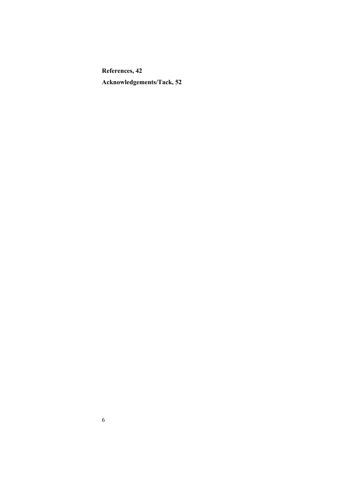**References, 42** 

**Acknowledgements/Tack, 52**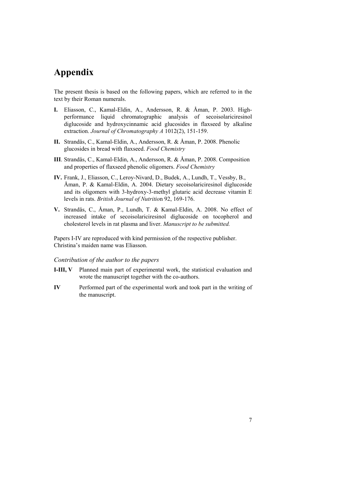# **Appendix**

The present thesis is based on the following papers, which are referred to in the text by their Roman numerals.

- **I.** Eliasson, C., Kamal-Eldin, A., Andersson, R. & Åman, P. 2003. Highperformance liquid chromatographic analysis of secoisolariciresinol diglucoside and hydroxycinnamic acid glucosides in flaxseed by alkaline extraction. *Journal of Chromatography A* 1012(2), 151-159.
- **II.** Strandås, C., Kamal-Eldin, A., Andersson, R. & Åman, P. 2008. Phenolic glucosides in bread with flaxseed. *Food Chemistry*
- **III**. Strandås, C., Kamal-Eldin, A., Andersson, R. & Åman, P. 2008. Composition and properties of flaxseed phenolic oligomers. *Food Chemistry*
- **IV.** Frank, J., Eliasson, C., Leroy-Nivard, D., Budek, A., Lundh, T., Vessby, B., Åman, P. & Kamal-Eldin, A. 2004. Dietary secoisolariciresinol diglucoside and its oligomers with 3-hydroxy-3-methyl glutaric acid decrease vitamin E levels in rats. *British Journal of Nutritio*n 92, 169-176.
- **V.** Strandås, C., Åman, P., Lundh, T. & Kamal-Eldin, A. 2008. No effect of increased intake of secoisolariciresinol diglucoside on tocopherol and cholesterol levels in rat plasma and liver. *Manuscript to be submitted.*

Papers I-IV are reproduced with kind permission of the respective publisher. Christina's maiden name was Eliasson.

### *Contribution of the author to the papers*

- **I-III, V** Planned main part of experimental work, the statistical evaluation and wrote the manuscript together with the co-authors.
- **IV** Performed part of the experimental work and took part in the writing of the manuscript.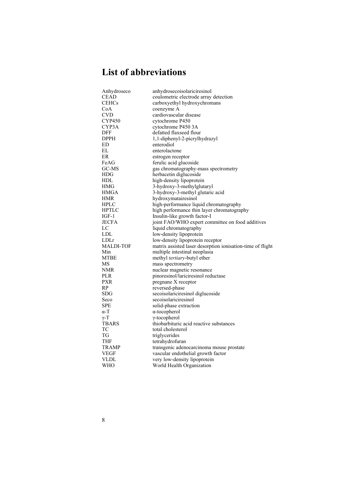# **List of abbreviations**

| Anhydroseco      | anhydrosecoisolariciresinol                                |
|------------------|------------------------------------------------------------|
| <b>CEAD</b>      | coulometric electrode array detection                      |
| <b>CEHCs</b>     | carboxyethyl hydroxychromans                               |
| CoA              | coenzyme A                                                 |
| <b>CVD</b>       | cardiovascular disease                                     |
| <b>CYP450</b>    | cytochrome P450                                            |
| CYP3A            | cytochrome P450 3A                                         |
| <b>DFF</b>       | defatted flaxseed flour                                    |
| <b>DPPH</b>      | 1,1-diphenyl-2-picrylhydrazyl                              |
| ED               | enterodiol                                                 |
| EL               | enterolactone                                              |
| ER.              | estrogen receptor                                          |
| FeAG             | ferulic acid glucoside                                     |
| GC-MS            | gas chromatography-mass spectrometry                       |
| HDG              | herbacetin diglucoside                                     |
| HDL              | high-density lipoprotein                                   |
| <b>HMG</b>       | 3-hydroxy-3-methylglutaryl                                 |
| <b>HMGA</b>      | 3-hydroxy-3-methyl glutaric acid                           |
| HMR              | hydroxymatairesinol                                        |
| <b>HPLC</b>      | high-performance liquid chromatography                     |
| <b>HPTLC</b>     | high performance thin layer chromatography                 |
| $IGF-1$          | Insulin-like growth factor-I                               |
| <b>JECFA</b>     | joint FAO/WHO expert committee on food additives           |
| LC               | liquid chromatography                                      |
| LDL              | low-density lipoprotein                                    |
| LDLr             | low-density lipoprotein receptor                           |
| <b>MALDI-TOF</b> | matrix assisted laser desorption ionisation-time of flight |
| Min              | multiple intestinal neoplasia                              |
| <b>MTBE</b>      | methyl tertiary-butyl ether                                |
| MS               | mass spectrometry                                          |
| <b>NMR</b>       | nuclear magnetic resonance                                 |
| <b>PLR</b>       | pinoresinol/lariciresinol reductase                        |
| <b>PXR</b>       | pregnane X receptor                                        |
| RP               | reversed-phase                                             |
| SDG              | secoisolariciresinol diglucoside                           |
| Seco             | secoisolariciresinol                                       |
| SPE              | solid-phase extraction                                     |
| $\alpha$ -T      | $\alpha$ -tocopherol                                       |
| $\gamma$ -T      | $\gamma$ -tocopherol                                       |
| <b>TBARS</b>     | thiobarbituric acid reactive substances                    |
| TC               | total cholesterol                                          |
| TG               | triglycerides                                              |
| THF              | tetrahydrofuran                                            |
| TRAMP            | transgenic adenocarcinoma mouse prostate                   |
| VEGF             | vascular endothelial growth factor                         |
| VLDL             | very low-density lipoprotein                               |
| WHO              | World Health Organization                                  |
|                  |                                                            |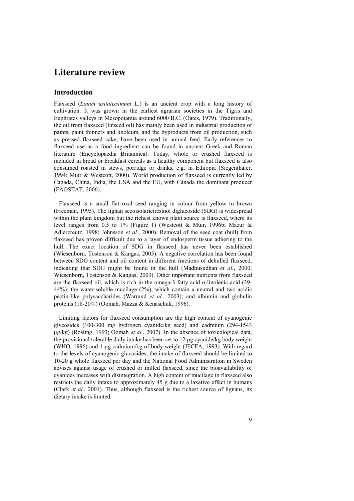## **Literature review**

## **Introduction**

Flaxseed (*Linum usitatissimum* L.) is an ancient crop with a long history of cultivation. It was grown in the earliest agrarian societies in the Tigris and Euphrates valleys in Mesopotamia around 6000 B.C. (Oates, 1979). Traditionally, the oil from flaxseed (linseed oil) has mainly been used in industrial production of paints, paint thinners and linoleum, and the byproducts from oil production, such as pressed flaxseed cake, have been used in animal feed. Early references to flaxseed use as a food ingredient can be found in ancient Greek and Roman literature (Encyclopaedia Britannica). Today, whole or crushed flaxseed is included in bread or breakfast cereals as a healthy component but flaxseed is also consumed roasted in stews, porridge or drinks, e.g. in Ethiopia (Siegenthaler, 1994; Muir & Westcott, 2000). World production of flaxseed is currently led by Canada, China, India, the USA and the EU, with Canada the dominant producer (FAOSTAT, 2006).

Flaxseed is a small flat oval seed ranging in colour from yellow to brown (Freeman, 1995). The lignan secoisolariciresinol diglucoside (SDG) is widespread within the plant kingdom but the richest known plant source is flaxseed, where its level ranges from 0.5 to 1% (Figure 1) (Westcott & Muir, 1996b; Mazur & Adlercreutz, 1998; Johnsson *et al.*, 2000). Removal of the seed coat (hull) from flaxseed has proven difficult due to a layer of endosperm tissue adhering to the hull. The exact location of SDG in flaxseed has never been established (Wiesenborn, Tostenson & Kangas, 2003). A negative correlation has been found between SDG content and oil content in different fractions of dehulled flaxseed, indicating that SDG might be found in the hull (Madhusudhan *et al.*, 2000; Wiesenborn, Tostenson & Kangas, 2003). Other important nutrients from flaxseed are the flaxseed oil, which is rich in the omega-3 fatty acid  $\alpha$ -linolenic acid (39-44%); the water-soluble mucilage (2%), which contain a neutral and two acidic pectin-like polysaccharides (Warrand *et al.*, 2003); and albumin and globulin proteins (18-20%) (Oomah, Mazza & Kenaschuk, 1996).

Limiting factors for flaxseed consumption are the high content of cyanogenic glycosides (100-300 mg hydrogen cyanide/kg seed) and cadmium (294-1543 μg/kg) (Rosling, 1993; Oomah *et al.*, 2007). In the absence of toxicological data, the provisional tolerable daily intake has been set to 12 μg cyanide/kg body weight (WHO, 1996) and 1 μg cadmium/kg of body weight (JECFA, 1993). With regard to the levels of cyanogenic glucosides, the intake of flaxseed should be limited to 10-20 g whole flaxseed per day and the National Food Administration in Sweden advises against usage of crushed or milled flaxseed, since the bioavailability of cyanides increases with disintegration. A high content of mucilage in flaxseed also restricts the daily intake to approximately 45 g due to a laxative effect in humans (Clark *et al.*, 2001). Thus, although flaxseed is the richest source of lignans, its dietary intake is limited.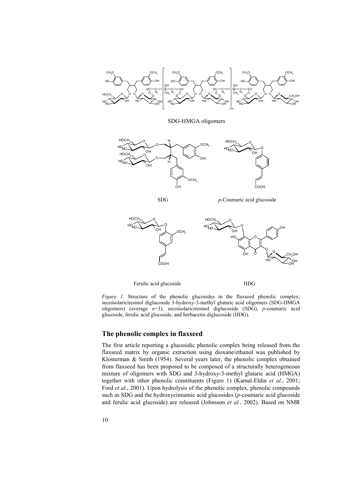

SDG-HMGA oligomers



SDG *p*-Coumaric acid glucoside



Ferulic acid glucoside HDG

*Figure 1*. Structure of the phenolic glucosides in the flaxseed phenolic complex; secoisolariciresinol diglucoside 3-hydroxy-3-methyl glutaric acid oligomers (SDG-HMGA oligomers) (average *n*=3), secoisolariciresinol diglucoside (SDG), *p*-coumaric acid glucoside, ferulic acid glucoside, and herbacetin diglucoside (HDG).

### **The phenolic complex in flaxseed**

The first article reporting a glucosidic phenolic complex being released from the flaxseed matrix by organic extraction using dioxane/ethanol was published by Klosterman & Smith (1954). Several years later, the phenolic complex obtained from flaxseed has been proposed to be composed of a structurally heterogeneous mixture of oligomers with SDG and 3-hydroxy-3-methyl glutaric acid (HMGA) together with other phenolic constituents (Figure 1) (Kamal-Eldin *et al.*, 2001; Ford *et al.*, 2001). Upon hydrolysis of the phenolic complex, phenolic compounds such as SDG and the hydroxycinnamic acid glucosides (*p*-coumaric acid glucoside and ferulic acid glucoside) are released (Johnsson *et al.*, 2002). Based on NMR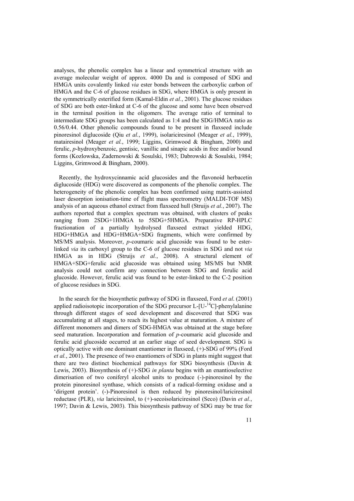analyses, the phenolic complex has a linear and symmetrical structure with an average molecular weight of approx. 4000 Da and is composed of SDG and HMGA units covalently linked *via* ester bonds between the carboxylic carbon of HMGA and the C-6 of glucose residues in SDG, where HMGA is only present in the symmetrically esterified form (Kamal-Eldin *et al.*, 2001). The glucose residues of SDG are both ester-linked at C-6 of the glucose and some have been observed in the terminal position in the oligomers. The average ratio of terminal to intermediate SDG groups has been calculated as 1:4 and the SDG/HMGA ratio as 0.56/0.44. Other phenolic compounds found to be present in flaxseed include pinoresinol diglucoside (Qiu *et al.*, 1999), isolariciresinol (Meager *et al.*, 1999), matairesinol (Meager *et al.*, 1999; Liggins, Grimwood & Bingham, 2000) and ferulic, *p*-hydroxybenzoic, gentisic, vanillic and sinapic acids in free and/or bound forms (Kozlowska, Zadernowski & Sosulski, 1983; Dabrowski & Sosulski, 1984; Liggins, Grimwood & Bingham, 2000).

Recently, the hydroxycinnamic acid glucosides and the flavonoid herbacetin diglucoside (HDG) were discovered as components of the phenolic complex. The heterogeneity of the phenolic complex has been confirmed using matrix-assisted laser desorption ionisation-time of flight mass spectrometry (MALDI-TOF MS) analysis of an aqueous ethanol extract from flaxseed hull (Struijs *et al.*, 2007). The authors reported that a complex spectrum was obtained, with clusters of peaks ranging from 2SDG+1HMGA to 5SDG+5HMGA. Preparative RP-HPLC fractionation of a partially hydrolysed flaxseed extract yielded HDG, HDG+HMGA and HDG+HMGA+SDG fragments, which were confirmed by MS/MS analysis. Moreover, *p*-coumaric acid glucoside was found to be esterlinked *via* its carboxyl group to the C-6 of glucose residues in SDG and not *via* HMGA as in HDG (Struijs *et al.*, 2008). A structural element of HMGA+SDG+ferulic acid glucoside was obtained using MS/MS but NMR analysis could not confirm any connection between SDG and ferulic acid glucoside. However, ferulic acid was found to be ester-linked to the C-2 position of glucose residues in SDG.

In the search for the biosynthetic pathway of SDG in flaxseed, Ford *et al*. (2001) applied radioisotopic incorporation of the SDG precursor L- $[U^{-14}C]$ -phenylalanine through different stages of seed development and discovered that SDG was accumulating at all stages, to reach its highest value at maturation. A mixture of different monomers and dimers of SDG-HMGA was obtained at the stage before seed maturation. Incorporation and formation of *p*-coumaric acid glucoside and ferulic acid glucoside occurred at an earlier stage of seed development. SDG is optically active with one dominant enantiomer in flaxseed, (+)-SDG of 99% (Ford *et al.*, 2001). The presence of two enantiomers of SDG in plants might suggest that there are two distinct biochemical pathways for SDG biosynthesis (Davin & Lewis, 2003). Biosynthesis of (+)-SDG *in planta* begins with an enantioselective dimerisation of two coniferyl alcohol units to produce (-)-pinoresinol by the protein pinoresinol synthase, which consists of a radical-forming oxidase and a 'dirigent protein'. (-)-Pinoresinol is then reduced by pinoresinol/lariciresinol reductase (PLR), *via* lariciresinol, to (+)-secoisolariciresinol (Seco) (Davin *et al.*, 1997; Davin & Lewis, 2003). This biosynthesis pathway of SDG may be true for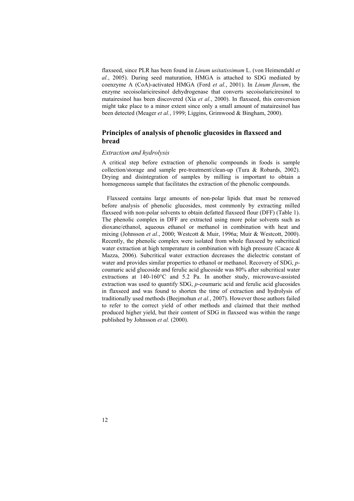flaxseed, since PLR has been found in *Linum usitatissimum* L. (von Heimendahl *et al.*, 2005). During seed maturation, HMGA is attached to SDG mediated by coenzyme A (CoA)-activated HMGA (Ford *et al.*, 2001). In *Linum flavum*, the enzyme secoisolariciresinol dehydrogenase that converts secoisolariciresinol to matairesinol has been discovered (Xia *et al.*, 2000). In flaxseed, this conversion might take place to a minor extent since only a small amount of matairesinol has been detected (Meager *et al.*, 1999; Liggins, Grimwood & Bingham, 2000).

## **Principles of analysis of phenolic glucosides in flaxseed and bread**

#### *Extraction and hydrolysis*

A critical step before extraction of phenolic compounds in foods is sample collection/storage and sample pre-treatment/clean-up (Tura & Robards, 2002). Drying and disintegration of samples by milling is important to obtain a homogeneous sample that facilitates the extraction of the phenolic compounds.

Flaxseed contains large amounts of non-polar lipids that must be removed before analysis of phenolic glucosides, most commonly by extracting milled flaxseed with non-polar solvents to obtain defatted flaxseed flour (DFF) (Table 1). The phenolic complex in DFF are extracted using more polar solvents such as dioxane/ethanol, aqueous ethanol or methanol in combination with heat and mixing (Johnsson *et al.*, 2000; Westcott & Muir, 1996a; Muir & Westcott, 2000). Recently, the phenolic complex were isolated from whole flaxseed by subcritical water extraction at high temperature in combination with high pressure (Cacace & Mazza, 2006). Subcritical water extraction decreases the dielectric constant of water and provides similar properties to ethanol or methanol. Recovery of SDG, *p*coumaric acid glucoside and ferulic acid glucoside was 80% after subcritical water extractions at 140-160°C and 5.2 Pa. In another study, microwave-assisted extraction was used to quantify SDG, *p*-coumaric acid and ferulic acid glucosides in flaxseed and was found to shorten the time of extraction and hydrolysis of traditionally used methods (Beejmohun *et al.*, 2007). However those authors failed to refer to the correct yield of other methods and claimed that their method produced higher yield, but their content of SDG in flaxseed was within the range published by Johnsson *et al.* (2000).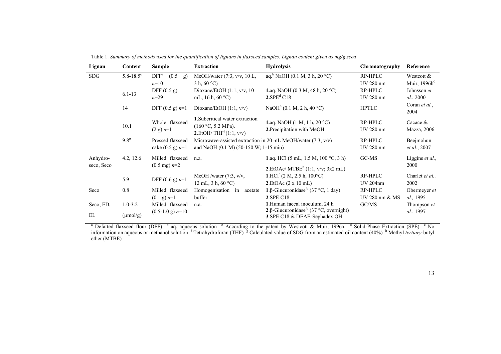| Lignan                 | Content                             | Sample                                         | <b>Extraction</b>                                                                                        | <b>Hydrolysis</b>                                                                                                                     | Chromatography             | Reference                                 |
|------------------------|-------------------------------------|------------------------------------------------|----------------------------------------------------------------------------------------------------------|---------------------------------------------------------------------------------------------------------------------------------------|----------------------------|-------------------------------------------|
| <b>SDG</b>             | $5.8 - 18.5$ <sup>c</sup>           | $DFF^a$<br>(0.5)<br>g)<br>$n=10$               | MeOH/water $(7:3, v/v, 10 L,$<br>3 h, $60^{\circ}$ C)                                                    | aq. <sup>b</sup> NaOH (0.1 M, 3 h, 20 °C)                                                                                             | RP-HPLC<br>UV 280 nm       | Westcott $\&$<br>Muir, 1996b <sup>c</sup> |
|                        | $6.1 - 13$                          | DFF $(0.5 g)$<br>$n=29$                        | Dioxane/EtOH $(1:1, v/v, 10)$<br>mL, 16 h, $60 °C$ )                                                     | <b>1.</b> aq. NaOH (0.3 M, 48 h, 20 °C)<br>$2.$ SPE <sup>d</sup> C <sub>18</sub>                                                      | RP-HPLC<br>UV 280 nm       | Johnsson et<br>al., 2000                  |
|                        | 14                                  | DFF $(0.5 \text{ g}) n=1$                      | Dioxane/EtOH $(1:1, v/v)$                                                                                | NaOH <sup>e</sup> (0.1 M, 2 h, 40 °C)                                                                                                 | <b>HPTLC</b>               | Coran et al.,<br>2004                     |
|                        | 10.1                                | Whole flaxseed<br>$(2 g) n=1$                  | 1. Subcritical water extraction<br>$(160 °C, 5.2 MPa)$ .<br><b>2.</b> EtOH/THF <sup>f</sup> $(1:1, v/v)$ | <b>1.</b> aq. NaOH $(1 M, 1 h, 20 °C)$<br>2. Precipitation with MeOH                                                                  | RP-HPLC<br>UV 280 nm       | Cacace $\&$<br>Mazza, 2006                |
|                        | 9.8 <sup>g</sup>                    | Pressed flaxseed<br>cake $(0.5 \text{ g})$ n=1 | and NaOH $(0.1 M)$ $(50-150 W; 1-15 min)$                                                                | Microwave-assisted extraction in 20 mL MeOH/water $(7:3, v/v)$                                                                        | RP-HPLC<br>UV 280 nm       | Beejmohun<br>et al., 2007                 |
| Anhydro-<br>seco, Seco | 4.2, 12.6                           | Milled flaxseed<br>$(0.5 \text{ mg})$ n=2      | n.a.                                                                                                     | 1.aq. HCl $(5 \text{ mL}, 1.5 \text{ M}, 100 \degree \text{C}, 3 \text{ h})$<br><b>2.</b> EtOAc/ MTBE <sup>h</sup> (1:1, v/v; 3x2 mL) | GC-MS                      | Liggins et al.,<br>2000                   |
|                        | 5.9                                 | DFF $(0.6 \text{ g})$ n=1                      | MeOH /water $(7:3, v/v,$<br>12 mL, $3 h, 60 °C$                                                          | 1.HCl <sup>e</sup> (2 M, 2.5 h, 100°C)<br>2.EtOAc(2 x 10 mL)                                                                          | RP-HPLC<br><b>UV 204nm</b> | Charlet et al.,<br>2002                   |
| Seco                   | 0.8                                 | Milled flaxseed<br>$(0.1 \text{ g})$ n=1       | Homogenisation in acetate<br>buffer                                                                      | 1.β-Glucuronidase $b$ (37 °C, 1 day)<br><b>2.SPE C18</b>                                                                              | RP-HPLC<br>UV 280 nm & MS  | Obermeyer et<br>al., 1995                 |
| Seco, ED,<br>EL        | $1.0 - 3.2$<br>$(\mu \text{mol/g})$ | Milled flaxseed<br>$(0.5-1.0 \text{ g})$ n=10  | n.a.                                                                                                     | 1. Human faecal inoculum, 24 h<br><b>2.</b> β-Glucuronidase $^b$ (37 °C, overnight)<br>3.SPE C18 & DEAE-Sephadex OH                   | GC/MS                      | Thompson et<br>al., 1997                  |

Table 1. *Summary of methods used for the quantification of lignans in flaxseed samples. Lignan content given as mg/g seed*

<sup>a</sup> Defatted flaxseed flour (DFF) <sup>b</sup> aq. aqueous solution <sup>c</sup> According to the patent by Westcott & Muir, 1996a. <sup>d</sup> Solid-Phase Extraction (SPE) <sup>e</sup> No information on aqueous or methanol solution <sup>f</sup> Tetrahydrofuran (THF) <sup>g</sup> Calculated value of SDG from an estimated oil content (40%) <sup>h</sup> Methyl *tertiary*-butyl ether (MTBE)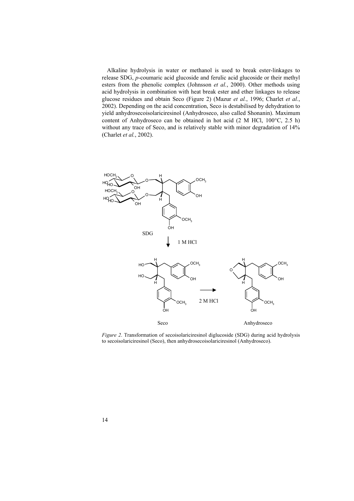Alkaline hydrolysis in water or methanol is used to break ester-linkages to release SDG, *p*-coumaric acid glucoside and ferulic acid glucoside or their methyl esters from the phenolic complex (Johnsson *et al.*, 2000). Other methods using acid hydrolysis in combination with heat break ester and ether linkages to release glucose residues and obtain Seco (Figure 2) (Mazur *et al.*, 1996; Charlet *et al.*, 2002). Depending on the acid concentration, Seco is destabilised by dehydration to yield anhydrosecoisolariciresinol (Anhydroseco, also called Shonanin). Maximum content of Anhydroseco can be obtained in hot acid (2 M HCl, 100°C, 2.5 h) without any trace of Seco, and is relatively stable with minor degradation of  $14\%$ (Charlet *et al.*, 2002).



*Figure 2*. Transformation of secoisolariciresinol diglucoside (SDG) during acid hydrolysis to secoisolariciresinol (Seco), then anhydrosecoisolariciresinol (Anhydroseco).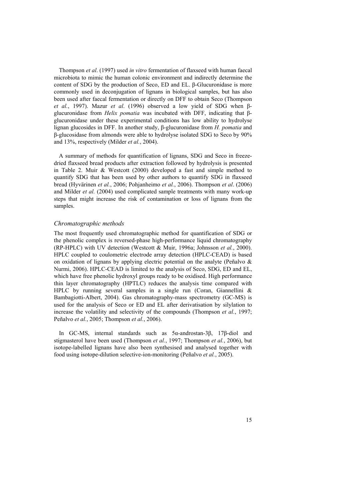Thompson *et al*. (1997) used *in vitro* fermentation of flaxseed with human faecal microbiota to mimic the human colonic environment and indirectly determine the content of SDG by the production of Seco, ED and EL. β-Glucuronidase is more commonly used in deconjugation of lignans in biological samples, but has also been used after faecal fermentation or directly on DFF to obtain Seco (Thompson *et al.*, 1997). Mazur *et al*. (1996) observed a low yield of SDG when βglucuronidase from *Helix pomatia* was incubated with DFF, indicating that βglucuronidase under these experimental conditions has low ability to hydrolyse lignan glucosides in DFF. In another study, β-glucuronidase from *H. pomatia* and β-glucosidase from almonds were able to hydrolyse isolated SDG to Seco by 90% and 13%, respectively (Milder *et al.*, 2004).

A summary of methods for quantification of lignans, SDG and Seco in freezedried flaxseed bread products after extraction followed by hydrolysis is presented in Table 2. Muir & Westcott (2000) developed a fast and simple method to quantify SDG that has been used by other authors to quantify SDG in flaxseed bread (Hyvärinen *et al.*, 2006; Pohjanheimo *et al.*, 2006). Thompson *et al*. (2006) and Milder *et al.* (2004) used complicated sample treatments with many work-up steps that might increase the risk of contamination or loss of lignans from the samples.

#### *Chromatographic methods*

The most frequently used chromatographic method for quantification of SDG or the phenolic complex is reversed-phase high-performance liquid chromatography (RP-HPLC) with UV detection (Westcott & Muir, 1996a; Johnsson *et al.*, 2000). HPLC coupled to coulometric electrode array detection (HPLC-CEAD) is based on oxidation of lignans by applying electric potential on the analyte (Peñalvo  $\&$ Nurmi, 2006). HPLC-CEAD is limited to the analysis of Seco, SDG, ED and EL, which have free phenolic hydroxyl groups ready to be oxidised. High performance thin layer chromatography (HPTLC) reduces the analysis time compared with HPLC by running several samples in a single run (Coran, Giannellini  $\&$ Bambagiotti-Albert, 2004). Gas chromatography-mass spectrometry (GC-MS) is used for the analysis of Seco or ED and EL after derivatisation by silylation to increase the volatility and selectivity of the compounds (Thompson *et al.*, 1997; Peñalvo *et al.*, 2005; Thompson *et al.*, 2006).

In GC-MS, internal standards such as 5α-androstan-3β, 17β-diol and stigmasterol have been used (Thompson *et al.*, 1997; Thompson *et al.*, 2006), but isotope-labelled lignans have also been synthesised and analysed together with food using isotope-dilution selective-ion-monitoring (Peñalvo *et al.*, 2005).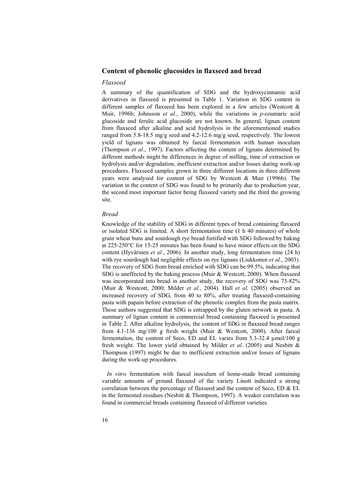#### **Content of phenolic glucosides in flaxseed and bread**

#### *Flaxseed*

A summary of the quantification of SDG and the hydroxycinnamic acid derivatives in flaxseed is presented in Table 1. Variation in SDG content in different samples of flaxseed has been explored in a few articles (Westcott & Muir, 1996b; Johnsson *et al.*, 2000), while the variations in *p*-coumaric acid glucoside and ferulic acid glucoside are not known. In general, lignan content from flaxseed after alkaline and acid hydrolysis in the aforementioned studies ranged from 5.8-18.5 mg/g seed and 4.2-12.6 mg/g seed, respectively. The lowest yield of lignans was obtained by faecal fermentation with human inoculum (Thompson *et al.*, 1997). Factors affecting the content of lignans determined by different methods might be differences in degree of milling, time of extraction or hydrolysis and/or degradation, inefficient extraction and/or losses during work-up procedures. Flaxseed samples grown in three different locations in three different years were analysed for content of SDG by Westcott & Muir (1996b). The variation in the content of SDG was found to be primarily due to production year, the second most important factor being flaxseed variety and the third the growing site.

#### *Bread*

Knowledge of the stability of SDG in different types of bread containing flaxseed or isolated SDG is limited. A short fermentation time (1 h 40 minutes) of whole grain wheat buns and sourdough rye bread fortified with SDG followed by baking at 225-250°C for 15-25 minutes has been found to have minor effects on the SDG content (Hyvärinen *et al.*, 2006). In another study, long fermentation time (24 h) with rye sourdough had negligible effects on rye lignans (Liukkonen *et al.*, 2003). The recovery of SDG from bread enriched with SDG can be 99.5%, indicating that SDG is uneffected by the baking process (Muir & Westcott, 2000). When flaxseed was incorporated into bread in another study, the recovery of SDG was 73-82% (Muir & Westcott, 2000; Milder *et al.*, 2004). Hall *et al*. (2005) observed an increased recovery of SDG, from 40 to 80%, after treating flaxseed-containing pasta with papain before extraction of the phenolic complex from the pasta matrix. Those authors suggested that SDG is entrapped by the gluten network in pasta. A summary of lignan content in commercial bread containing flaxseed is presented in Table 2. After alkaline hydrolysis, the content of SDG in flaxseed bread ranges from 4.1-136 mg/100 g fresh weight (Muir & Westcott, 2000). After faecal fermentation, the content of Seco, ED and EL varies from 5.3-32.4 µmol/100 g fresh weight. The lower yield obtained by Milder *et al*. (2005) and Nesbitt & Thompson (1997) might be due to inefficient extraction and/or losses of lignans during the work-up procedures.

*In vitro* fermentation with faecal inoculum of home-made bread containing variable amounts of ground flaxseed of the variety Linott indicated a strong correlation between the percentage of flaxseed and the content of Seco, ED & EL in the fermented residues (Nesbitt  $\&$  Thompson, 1997). A weaker correlation was found in commercial breads containing flaxseed of different varieties.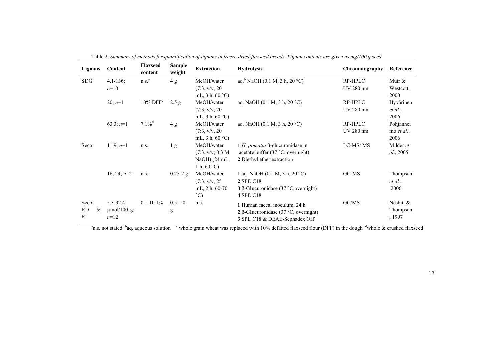| Lignans    | Content          | <b>Flaxseed</b><br>content | <b>Sample</b><br>weight | <b>Extraction</b>    | <b>Hydrolysis</b>                                | Chromatography | Reference    |
|------------|------------------|----------------------------|-------------------------|----------------------|--------------------------------------------------|----------------|--------------|
| <b>SDG</b> | $4.1 - 136$ ;    | n.s. <sup>a</sup>          | 4g                      | MeOH/water           | aq. <sup>b</sup> NaOH (0.1 M, 3 h, 20 °C)        | RP-HPLC        | Muir &       |
|            | $n=10$           |                            |                         | (7:3, v/v, 20)       |                                                  | UV 280 nm      | Westcott,    |
|            |                  |                            |                         | mL, $3 h, 60 °C$     |                                                  |                | 2000         |
|            | $20; n=1$        | $10\%$ DFF $c$             | 2.5 g                   | MeOH/water           | aq. NaOH $(0.1 M, 3 h, 20 °C)$                   | RP-HPLC        | Hyvärinen    |
|            |                  |                            |                         | (7:3, v/v, 20)       |                                                  | UV 280 nm      | et al.,      |
|            |                  |                            |                         | mL, $3 h, 60 °C$     |                                                  |                | 2006         |
|            | 63.3; $n=1$      | $7.1\%$ <sup>d</sup>       | 4g                      | MeOH/water           | aq. NaOH $(0.1 M, 3 h, 20 °C)$                   | RP-HPLC        | Pohjanhei    |
|            |                  |                            |                         | (7:3, v/v, 20)       |                                                  | UV 280 nm      | mo $et$ al., |
|            |                  |                            |                         | mL, $3 h, 60 °C$     |                                                  |                | 2006         |
| Seco       | 11.9; $n=1$      | n.s.                       | 1 <sub>g</sub>          | MeOH/water           | 1. <i>H. pomatia</i> β-glucuronidase in          | LC-MS/MS       | Milder et    |
|            |                  |                            |                         | (7:3, v/v; 0.3 M)    | acetate buffer $(37 \degree C,$ overnight)       |                | al., 2005    |
|            |                  |                            |                         | NaOH) (24 mL,        | 2. Diethyl ether extraction                      |                |              |
|            |                  |                            |                         | 1 h, $60^{\circ}$ C) |                                                  |                |              |
|            | 16, 24; $n=2$    | n.s.                       | $0.25 - 2$ g            | MeOH/water           | 1.aq. NaOH (0.1 M, 3 h, 20 $^{\circ}$ C)         | GC-MS          | Thompson     |
|            |                  |                            |                         | (7:3, v/v, 25)       | 2.SPE C18                                        |                | et al.,      |
|            |                  |                            |                         | mL, $2 h, 60-70$     | <b>3</b> .β-Glucuronidase $(37 °C)$ , overnight) |                | 2006         |
|            |                  |                            |                         | $^{\circ}$ C)        | <b>4.SPE C18</b>                                 |                |              |
| Seco,      | $5.3 - 32.4$     | $0.1 - 10.1\%$             | $0.5 - 1.0$             | n.a.                 | 1.Human faecal inoculum, 24 h                    | GC/MS          | Nesbitt $\&$ |
| ED<br>$\&$ | $\mu$ mol/100 g; | g                          |                         |                      | <b>2</b> .β-Glucuronidase (37 °C, overnight)     |                | Thompson     |
| EL         | $n=12$           |                            |                         |                      | 3.SPE C18 & DEAE-Sephadex OH                     |                | , 1997       |

Table 2. *Summary of methods for quantification of lignans in freeze-dried flaxseed breads. Lignan contents are given as mg/100 g seed* 

<sup>a</sup>n.s. not stated <sup>b</sup>aq. aqueous solution <sup>c</sup> whole grain wheat was replaced with 10% defatted flaxseed flour (DFF) in the dough <sup>d</sup>whole & crushed flaxseed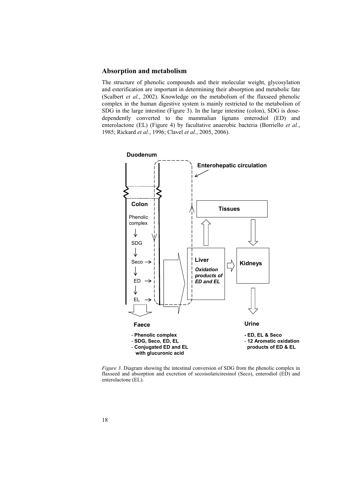## **Absorption and metabolism**

The structure of phenolic compounds and their molecular weight, glycosylation and esterification are important in determining their absorption and metabolic fate (Scalbert *et al.*, 2002). Knowledge on the metabolism of the flaxseed phenolic complex in the human digestive system is mainly restricted to the metabolism of SDG in the large intestine (Figure 3). In the large intestine (colon), SDG is dosedependently converted to the mammalian lignans enterodiol (ED) and enterolactone (EL) (Figure 4) by facultative anaerobic bacteria (Borriello *et al.*, 1985; Rickard *et al.*, 1996; Clavel *et al.*, 2005, 2006).



*Figure 3*. Diagram showing the intestinal conversion of SDG from the phenolic complex in flaxseed and absorption and excretion of secoisolariciresinol (Seco), enterodiol (ED) and enterolactone (EL).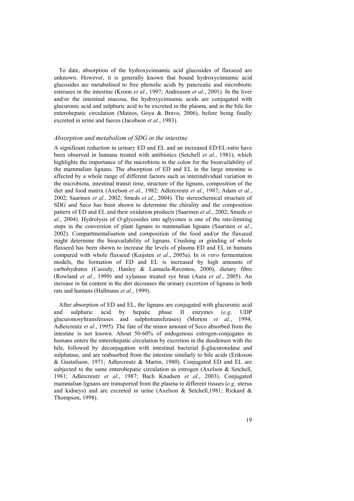To date, absorption of the hydroxycinnamic acid glucosides of flaxseed are unknown. However, it is generally known that bound hydroxycinnamic acid glucosides are metabolised to free phenolic acids by pancreatic and microbiotic esterases in the intestine (Kroon *et al.*, 1997; Andreasen *et al.*, 2001). In the liver and/or the intestinal mucosa, the hydroxycinnamic acids are conjugated with glucuronic acid and sulphuric acid to be excreted in the plasma, and in the bile for enterohepatic circulation (Mateos, Goya & Bravo, 2006), before being finally excreted in urine and faeces (Jacobson *et al.*, 1983).

#### *Absorption and metabolism of SDG in the intestine*

A significant reduction in urinary ED and EL and an increased ED/EL-ratio have been observed in humans treated with antibiotics (Setchell *et al.*, 1981), which highlights the importance of the microbiota in the colon for the bioavailability of the mammalian lignans. The absorption of ED and EL in the large intestine is affected by a whole range of different factors such as interindividual variation in the microbiota, intestinal transit time, structure of the lignans, composition of the diet and food matrix (Axelson *et al.,* 1982; Adlercreutz *et al.*, 1987; Adam *et al.*, 2002; Saarinen *et al.*, 2002; Smeds *et al.*, 2004). The stereochemical structure of SDG and Seco has been shown to determine the chirality and the composition pattern of ED and EL and their oxidation products (Saarinen *et al.*, 2002; Smeds *et al.*, 2004). Hydrolysis of *O*-glycosides into aglycones is one of the rate-limiting steps in the conversion of plant lignans to mammalian lignans (Saarinen *et al.*, 2002). Compartmentalisation and composition of the food and/or the flaxseed might determine the bioavailability of lignans. Crushing or grinding of whole flaxseed has been shown to increase the levels of plasma ED and EL in humans compared with whole flaxseed (Kuijsten *et al.*, 2005a). In *in vitro* fermentation models, the formation of ED and EL is increased by high amounts of carbohydrates (Cassidy, Hanley & Lamuela-Raventos, 2000), dietary fibre (Rowland *et al.*, 1999) and xylanase treated rye bran (Aura *et al.*, 2005). An increase in fat content in the diet decreases the urinary excretion of lignans in both rats and humans (Hallmans *et al.*, 1999).

After absorption of ED and EL, the lignans are conjugated with glucuronic acid and sulphuric acid by hepatic phase II enzymes (*e.g*. UDP glucuronosyltransferases and sulphotransferases) (Morton *et al.*, 1994; Adlercreutz *et al.*, 1995). The fate of the minor amount of Seco absorbed from the intestine is not known. About 50-60% of endogenous estrogen-conjugates in humans enters the enterohepatic circulation by excretion in the duodenum with the bile, followed by deconjugation with intestinal bacterial β-glucuronidase and sulphatase, and are reabsorbed from the intestine similarly to bile acids (Eriksson & Gustafsson, 1971; Adlercreutz & Martin, 1980). Conjugated ED and EL are subjected to the same enterohepatic circulation as estrogen (Axelson & Setchell, 1981; Adlercreutz *et al.*, 1987; Bach Knudsen *et al.*, 2003). Conjugated mammalian lignans are transported from the plasma to different tissues (*e.g*. uterus and kidneys) and are excreted in urine (Axelson & Setchell,1981; Rickard & Thompson, 1998).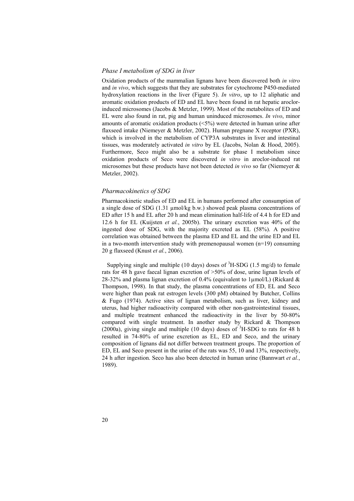#### *Phase I metabolism of SDG in liver*

Oxidation products of the mammalian lignans have been discovered both *in vitro* and *in vivo*, which suggests that they are substrates for cytochrome P450-mediated hydroxylation reactions in the liver (Figure 5). *In vitro*, up to 12 aliphatic and aromatic oxidation products of ED and EL have been found in rat hepatic aroclorinduced microsomes (Jacobs & Metzler, 1999). Most of the metabolites of ED and EL were also found in rat, pig and human uninduced microsomes. *In vivo*, minor amounts of aromatic oxidation products  $(<5\%)$  were detected in human urine after flaxseed intake (Niemeyer & Metzler, 2002). Human pregnane X receptor (PXR), which is involved in the metabolism of CYP3A substrates in liver and intestinal tissues, was moderately activated *in vitro* by EL (Jacobs, Nolan & Hood, 2005). Furthermore, Seco might also be a substrate for phase I metabolism since oxidation products of Seco were discovered *in vitro* in aroclor-induced rat microsomes but these products have not been detected *in vivo* so far (Niemeyer & Metzler, 2002).

#### *Pharmacokinetics of SDG*

Pharmacokinetic studies of ED and EL in humans performed after consumption of a single dose of SDG (1.31 µmol/kg b.w.) showed peak plasma concentrations of ED after 15 h and EL after 20 h and mean elimination half-life of 4.4 h for ED and 12.6 h for EL (Kuijsten *et al.*, 2005b). The urinary excretion was 40% of the ingested dose of SDG, with the majority excreted as EL (58%). A positive correlation was obtained between the plasma ED and EL and the urine ED and EL in a two-month intervention study with premenopausal women  $(n=19)$  consuming 20 g flaxseed (Knust *et al.*, 2006).

Supplying single and multiple (10 days) doses of  ${}^{3}$ H-SDG (1.5 mg/d) to female rats for 48 h gave faecal lignan excretion of >50% of dose, urine lignan levels of 28-32% and plasma lignan excretion of 0.4% (equivalent to 1 $\mu$ mol/L) (Rickard & Thompson, 1998). In that study, the plasma concentrations of ED, EL and Seco were higher than peak rat estrogen levels (300 pM) obtained by Butcher, Collins & Fugo (1974). Active sites of lignan metabolism, such as liver, kidney and uterus, had higher radioactivity compared with other non-gastrointestinal tissues, and multiple treatment enhanced the radioactivity in the liver by 50-80% compared with single treatment. In another study by Rickard & Thompson (2000a), giving single and multiple (10 days) doses of  ${}^{3}$ H-SDG to rats for 48 h resulted in 74-80% of urine excretion as EL, ED and Seco, and the urinary composition of lignans did not differ between treatment groups. The proportion of ED, EL and Seco present in the urine of the rats was 55, 10 and 13%, respectively, 24 h after ingestion. Seco has also been detected in human urine (Bannwart *et al.*, 1989).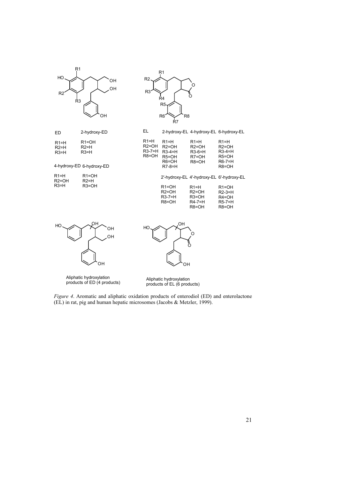

Aliphatic hydroxylation products of ED (4 products)

Aliphatic hydroxylation products of EL (6 products)

OH

*Figure 4*. Aromatic and aliphatic oxidation products of enterodiol (ED) and enterolactone (EL) in rat, pig and human hepatic microsomes (Jacobs & Metzler, 1999).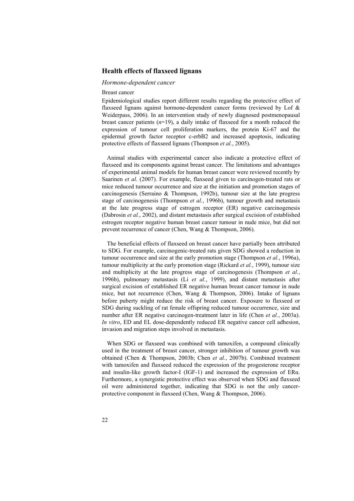## **Health effects of flaxseed lignans**

#### *Hormone-dependent cancer*

#### Breast cancer

Epidemiological studies report different results regarding the protective effect of flaxseed lignans against hormone-dependent cancer forms (reviewed by Lof & Weiderpass, 2006). In an intervention study of newly diagnosed postmenopausal breast cancer patients  $(n=19)$ , a daily intake of flaxseed for a month reduced the expression of tumour cell proliferation markers, the protein Ki-67 and the epidermal growth factor receptor c-erbB2 and increased apoptosis, indicating protective effects of flaxseed lignans (Thompson *et al.*, 2005).

Animal studies with experimental cancer also indicate a protective effect of flaxseed and its components against breast cancer. The limitations and advantages of experimental animal models for human breast cancer were reviewed recently by Saarinen *et al*. (2007). For example, flaxseed given to carcinogen-treated rats or mice reduced tumour occurrence and size at the initiation and promotion stages of carcinogenesis (Serraino & Thompson, 1992b), tumour size at the late progress stage of carcinogenesis (Thompson *et al.*, 1996b), tumour growth and metastasis at the late progress stage of estrogen receptor (ER) negative carcinogenesis (Dabrosin *et al.*, 2002), and distant metastasis after surgical excision of established estrogen receptor negative human breast cancer tumour in nude mice, but did not prevent recurrence of cancer (Chen, Wang & Thompson, 2006).

The beneficial effects of flaxseed on breast cancer have partially been attributed to SDG. For example, carcinogenic-treated rats given SDG showed a reduction in tumour occurrence and size at the early promotion stage (Thompson *et al.*, 1996a), tumour multiplicity at the early promotion stage (Rickard *et al.*, 1999), tumour size and multiplicity at the late progress stage of carcinogenesis (Thompson *et al.*, 1996b), pulmonary metastasis (Li *et al.*, 1999), and distant metastasis after surgical excision of established ER negative human breast cancer tumour in nude mice, but not recurrence (Chen, Wang & Thompson, 2006). Intake of lignans before puberty might reduce the risk of breast cancer. Exposure to flaxseed or SDG during suckling of rat female offspring reduced tumour occurrence, size and number after ER negative carcinogen-treatment later in life (Chen *et al.*, 2003a). *In vitro*, ED and EL dose-dependently reduced ER negative cancer cell adhesion, invasion and migration steps involved in metastasis.

When SDG or flaxseed was combined with tamoxifen, a compound clinically used in the treatment of breast cancer, stronger inhibition of tumour growth was obtained (Chen & Thompson, 2003b; Chen *et al.*, 2007b). Combined treatment with tamoxifen and flaxseed reduced the expression of the progesterone receptor and insulin-like growth factor-I (IGF-1) and increased the expression of ERα. Furthermore, a synergistic protective effect was observed when SDG and flaxseed oil were administered together, indicating that SDG is not the only cancerprotective component in flaxseed (Chen, Wang & Thompson, 2006).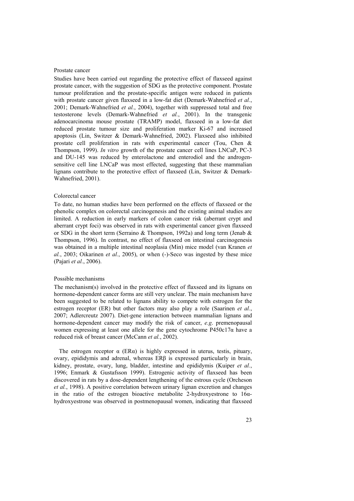#### Prostate cancer

Studies have been carried out regarding the protective effect of flaxseed against prostate cancer, with the suggestion of SDG as the protective component. Prostate tumour proliferation and the prostate-specific antigen were reduced in patients with prostate cancer given flaxseed in a low-fat diet (Demark-Wahnefried *et al.*, 2001; Demark-Wahnefried *et al.*, 2004), together with suppressed total and free testosterone levels (Demark-Wahnefried *et al.*, 2001). In the transgenic adenocarcinoma mouse prostate (TRAMP) model, flaxseed in a low-fat diet reduced prostate tumour size and proliferation marker Ki-67 and increased apoptosis (Lin, Switzer & Demark-Wahnefried, 2002). Flaxseed also inhibited prostate cell proliferation in rats with experimental cancer (Tou, Chen & Thompson, 1999). *In vitro* growth of the prostate cancer cell lines LNCaP, PC-3 and DU-145 was reduced by enterolactone and enterodiol and the androgensensitive cell line LNCaP was most effected, suggesting that these mammalian lignans contribute to the protective effect of flaxseed (Lin, Switzer & Demark-Wahnefried, 2001).

#### Colorectal cancer

To date, no human studies have been performed on the effects of flaxseed or the phenolic complex on colorectal carcinogenesis and the existing animal studies are limited. A reduction in early markers of colon cancer risk (aberrant crypt and aberrant crypt foci) was observed in rats with experimental cancer given flaxseed or SDG in the short term (Serraino  $\&$  Thompson, 1992a) and long term (Jenab  $\&$ Thompson, 1996). In contrast, no effect of flaxseed on intestinal carcinogenesis was obtained in a multiple intestinal neoplasia (Min) mice model (van Kranen *et al.*, 2003; Oikarinen *et al.*, 2005), or when (-)-Seco was ingested by these mice (Pajari *et al.*, 2006).

#### Possible mechanisms

The mechanism(s) involved in the protective effect of flaxseed and its lignans on hormone-dependent cancer forms are still very unclear. The main mechanism have been suggested to be related to lignans ability to compete with estrogen for the estrogen receptor (ER) but other factors may also play a role (Saarinen *et al.*, 2007; Adlercreutz 2007). Diet-gene interaction between mammalian lignans and hormone-dependent cancer may modify the risk of cancer, *e.g*. premenopausal women expressing at least one allele for the gene cytochrome P450c17α have a reduced risk of breast cancer (McCann *et al.*, 2002).

The estrogen receptor  $\alpha$  (ER $\alpha$ ) is highly expressed in uterus, testis, pituary, ovary, epididymis and adrenal, whereas ERβ is expressed particularly in brain, kidney, prostate, ovary, lung, bladder, intestine and epididymis (Kuiper *et al.*, 1996; Enmark & Gustafsson 1999). Estrogenic activity of flaxseed has been discovered in rats by a dose-dependent lengthening of the estrous cycle (Orcheson *et al.*, 1998). A positive correlation between urinary lignan excretion and changes in the ratio of the estrogen bioactive metabolite 2-hydroxyestrone to 16αhydroxyestrone was observed in postmenopausal women, indicating that flaxseed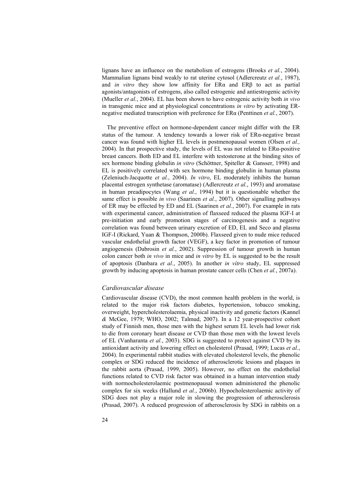lignans have an influence on the metabolism of estrogens (Brooks *et al.*, 2004). Mammalian lignans bind weakly to rat uterine cytosol (Adlercreutz *et al.*, 1987), and *in vitro* they show low affinity for ERα and ERβ to act as partial agonists/antagonists of estrogens, also called estrogenic and antiestrogenic activity (Mueller *et al.*, 2004). EL has been shown to have estrogenic activity both *in vivo* in transgenic mice and at physiological concentrations *in vitro* by activating ERnegative mediated transcription with preference for ERα (Penttinen *et al.*, 2007).

The preventive effect on hormone-dependent cancer might differ with the ER status of the tumour. A tendency towards a lower risk of ERα-negative breast cancer was found with higher EL levels in postmenopausal women (Olsen *et al.,* 2004). In that prospective study, the levels of EL was not related to  $ER\alpha$ -positive breast cancers. Both ED and EL interfere with testosterone at the binding sites of sex hormone binding globulin *in vitro* (Schöttner, Spiteller & Gansser, 1998) and EL is positively correlated with sex hormone binding globulin in human plasma (Zeleniuch-Jacquotte *et al.*, 2004). *In vitro*, EL moderately inhibits the human placental estrogen synthetase (aromatase) (Adlercreutz *et al.*, 1993) and aromatase in human preadipocytes (Wang *et al.*, 1994) but it is questionable whether the same effect is possible *in vivo* (Saarinen *et al.*, 2007). Other signalling pathways of ER may be effected by ED and EL (Saarinen *et al.*, 2007). For example in rats with experimental cancer, administration of flaxseed reduced the plasma IGF-I at pre-initiation and early promotion stages of carcinogenesis and a negative correlation was found between urinary excretion of ED, EL and Seco and plasma IGF-I (Rickard, Yuan & Thompson, 2000b). Flaxseed given to nude mice reduced vascular endothelial growth factor (VEGF), a key factor in promotion of tumour angiogenesis (Dabrosin *et al.*, 2002). Suppression of tumour growth in human colon cancer both *in vivo* in mice and *in vitro* by EL is suggested to be the result of apoptosis (Danbara *et al.*, 2005). In another *in vítro* study, EL suppressed growth by inducing apoptosis in human prostate cancer cells (Chen *et al.*, 2007a).

#### *Cardiovascular disease*

Cardiovascular disease (CVD), the most common health problem in the world, is related to the major risk factors diabetes, hypertension, tobacco smoking, overweight, hypercholesterolaemia, physical inactivity and genetic factors (Kannel *&* McGee, 1979; WHO, 2002; Talmud, 2007). In a 12 year-prospective cohort study of Finnish men, those men with the highest serum EL levels had lower risk to die from coronary heart disease or CVD than those men with the lowest levels of EL (Vanharanta *et al.*, 2003). SDG is suggested to protect against CVD by its antioxidant activity and lowering effect on cholesterol (Prasad, 1999; Lucas *et al.*, 2004). In experimental rabbit studies with elevated cholesterol levels, the phenolic complex or SDG reduced the incidence of atherosclerotic lesions and plaques in the rabbit aorta (Prasad, 1999, 2005). However, no effect on the endothelial functions related to CVD risk factor was obtained in a human intervention study with normocholesterolaemic postmenopausal women administered the phenolic complex for six weeks (Hallund *et al.*, 2006b). Hypocholesterolaemic activity of SDG does not play a major role in slowing the progression of atherosclerosis (Prasad, 2007). A reduced progression of atherosclerosis by SDG in rabbits on a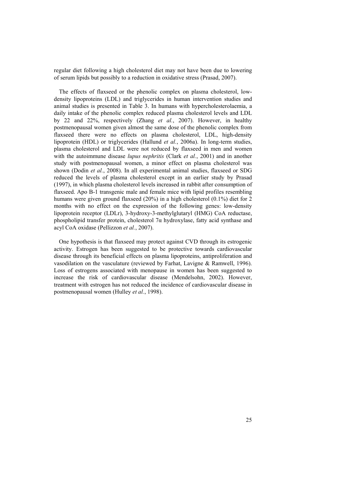regular diet following a high cholesterol diet may not have been due to lowering of serum lipids but possibly to a reduction in oxidative stress (Prasad, 2007).

The effects of flaxseed or the phenolic complex on plasma cholesterol, lowdensity lipoproteins (LDL) and triglycerides in human intervention studies and animal studies is presented in Table 3. In humans with hypercholesterolaemia, a daily intake of the phenolic complex reduced plasma cholesterol levels and LDL by 22 and 22%, respectively (Zhang *et al.*, 2007). However, in healthy postmenopausal women given almost the same dose of the phenolic complex from flaxseed there were no effects on plasma cholesterol, LDL, high-density lipoprotein (HDL) or triglycerides (Hallund *et al.*, 2006a). In long-term studies, plasma cholesterol and LDL were not reduced by flaxseed in men and women with the autoimmune disease *lupus nephritis* (Clark *et al.*, 2001) and in another study with postmenopausal women, a minor effect on plasma cholesterol was shown (Dodin *et al.*, 2008). In all experimental animal studies, flaxseed or SDG reduced the levels of plasma cholesterol except in an earlier study by Prasad (1997), in which plasma cholesterol levels increased in rabbit after consumption of flaxseed. Apo B-1 transgenic male and female mice with lipid profiles resembling humans were given ground flaxseed (20%) in a high cholesterol (0.1%) diet for 2 months with no effect on the expression of the following genes: low-density lipoprotein receptor (LDLr), 3-hydroxy-3-methylglutaryl (HMG) CoA reductase, phospholipid transfer protein, cholesterol  $7\alpha$  hydroxylase, fatty acid synthase and acyl CoA oxidase (Pellizzon *et al.*, 2007).

One hypothesis is that flaxseed may protect against CVD through its estrogenic activity. Estrogen has been suggested to be protective towards cardiovascular disease through its beneficial effects on plasma lipoproteins, antiproliferation and vasodilation on the vasculature (reviewed by Farhat, Lavigne & Ramwell, 1996). Loss of estrogens associated with menopause in women has been suggested to increase the risk of cardiovascular disease (Mendelsohn, 2002). However, treatment with estrogen has not reduced the incidence of cardiovascular disease in postmenopausal women (Hulley *et al.*, 1998).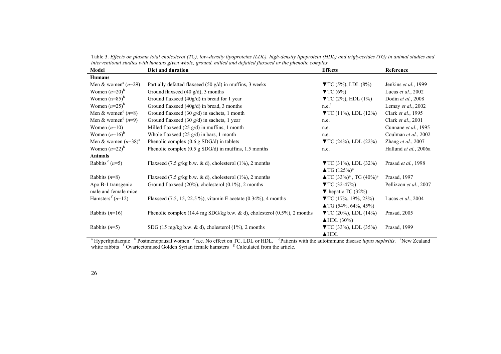| Model                             | Diet and duration                                                            | <b>Effects</b>                            | Reference              |
|-----------------------------------|------------------------------------------------------------------------------|-------------------------------------------|------------------------|
| <b>Humans</b>                     |                                                                              |                                           |                        |
| Men & women <sup>a</sup> $(n=29)$ | Partially defatted flaxseed $(50 \text{ g/d})$ in muffins, 3 weeks           | $\blacktriangledown$ TC (5%), LDL (8%)    | Jenkins et al., 1999   |
| Women $(n=20)^b$                  | Ground flaxseed $(40 \text{ g/d})$ , 3 months                                | $\blacktriangledown$ TC (6%)              | Lucas et al., 2002     |
| Women $(n=85)^{b}$                | Ground flaxseed (40g/d) in bread for 1 year                                  | $\blacktriangledown$ TC (2%), HDL (1%)    | Dodin et al., 2008     |
| Women $(n=25)^{b}$                | Ground flaxseed (40g/d) in bread, 3 months                                   | n.e. <sup>c</sup>                         | Lemay et al., 2002     |
| Men & women <sup>d</sup> $(n=8)$  | Ground flaxseed $(30 \text{ g/d})$ in sachets, 1 month                       | $\blacktriangledown$ TC (11%), LDL (12%)  | Clark et al., 1995     |
| Men & women <sup>d</sup> $(n=9)$  | Ground flaxseed $(30 \text{ g/d})$ in sachets, 1 year                        | n.e.                                      | Clark et al., 2001     |
| Women $(n=10)$                    | Milled flaxseed $(25 \text{ g/d})$ in muffins, 1 month                       | n.e.                                      | Cunnane et al., 1995   |
| Women $(n=16)^b$                  | Whole flaxseed $(25 \text{ g/d})$ in bars, 1 month                           | n.e.                                      | Coulman et al., 2002   |
| Men & women $(n=38)^a$            | Phenolic complex $(0.6 \text{ g} SDG/d)$ in tablets                          | $\blacktriangledown$ TC (24%), LDL (22%)  | Zhang et al., 2007     |
| Women $(n=22)^{b}$                | Phenolic complex $(0.5 \text{ g} SDG/d)$ in muffins, 1.5 months              | n.e.                                      | Hallund et al., 2006a  |
| <b>Animals</b>                    |                                                                              |                                           |                        |
| Rabbits <sup>e</sup> $(n=5)$      | Flaxseed (7.5 g/kg b.w. & d), cholesterol (1%), 2 months                     | $\blacktriangledown$ TC (31%), LDL (32%)  | Prasad et al., 1998    |
|                                   |                                                                              | $\triangle$ TG $(125\%)^g$                |                        |
| Rabbits $(n=8)$                   | Flaxseed (7.5 g/kg b.w. & d), cholesterol (1%), 2 months                     | $\triangle$ TC $(33\%)^g$ , TG $(40\%)^g$ | Prasad, 1997           |
| Apo B-1 transgenic                | Ground flaxseed (20%), cholesterol (0.1%), 2 months                          | $\blacktriangledown$ TC (32-47%)          | Pellizzon et al., 2007 |
| male and female mice              |                                                                              | $\blacktriangledown$ hepatic TC (32%)     |                        |
| Hamsters $(n=12)$                 | Flaxseed $(7.5, 15, 22.5\%)$ , vitamin E acetate $(0.34\%)$ , 4 months       | $\blacktriangledown$ TC (17%, 19%, 23%)   | Lucas et al., 2004     |
|                                   |                                                                              | $\triangle$ TG (54%, 64%, 45%)            |                        |
| Rabbits $(n=16)$                  | Phenolic complex (14.4 mg SDG/kg b.w. & d), cholesterol $(0.5\%)$ , 2 months | $\blacktriangledown$ TC (20%), LDL (14%)  | Prasad, 2005           |
|                                   |                                                                              | $\triangle$ HDL (30%)                     |                        |
| Rabbits $(n=5)$                   | SDG (15 mg/kg b.w. & d), cholesterol $(1\%)$ , 2 months                      | $\blacktriangledown$ TC (33%), LDL (35%)  | Prasad, 1999           |
|                                   |                                                                              | A HDL                                     |                        |

Table 3. *Effects on plasma total cholesterol (TC), low-density lipoproteins (LDL), high-density lipoprotein (HDL) and triglycerides (TG) in animal studies and interventional studies with humans given whole, ground, milled and defatted flaxseed or the phenolic complex* 

white rabbits  $f$  Ovariectomised Golden Syrian female hamsters  $g$  Calculated from the article.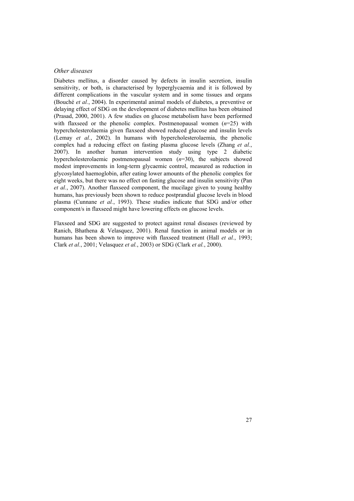### *Other diseases*

Diabetes mellitus, a disorder caused by defects in insulin secretion, insulin sensitivity, or both, is characterised by hyperglycaemia and it is followed by different complications in the vascular system and in some tissues and organs (Bouché *et al.*, 2004). In experimental animal models of diabetes, a preventive or delaying effect of SDG on the development of diabetes mellitus has been obtained (Prasad, 2000, 2001). A few studies on glucose metabolism have been performed with flaxseed or the phenolic complex. Postmenopausal women (*n*=25) with hypercholesterolaemia given flaxseed showed reduced glucose and insulin levels (Lemay *et al.*, 2002). In humans with hypercholesterolaemia, the phenolic complex had a reducing effect on fasting plasma glucose levels (Zhang *et al.*, 2007). In another human intervention study using type 2 diabetic hypercholesterolaemic postmenopausal women (*n*=30), the subjects showed modest improvements in long-term glycaemic control, measured as reduction in glycosylated haemoglobin, after eating lower amounts of the phenolic complex for eight weeks, but there was no effect on fasting glucose and insulin sensitivity (Pan *et al.*, 2007). Another flaxseed component, the mucilage given to young healthy humans, has previously been shown to reduce postprandial glucose levels in blood plasma (Cunnane *et al.*, 1993). These studies indicate that SDG and/or other component/s in flaxseed might have lowering effects on glucose levels.

Flaxseed and SDG are suggested to protect against renal diseases (reviewed by Ranich, Bhathena & [Velasquez,](http://apps.isiknowledge.com/WoS/CIW.cgi?SID=N2doNEDH49GalDDJ34a&Func=OneClickSearch&field=AU&val=Velasquez+MT&ut=000173725400003&auloc=3&curr_doc=7/4&Form=FullRecordPage&doc=7/4) 2001). Renal function in animal models or in humans has been shown to improve with flaxseed treatment (Hall *et al.*, 1993; Clark *et al.*, 2001; Velasquez *et al.*, 2003) or SDG (Clark *et al.*, 2000).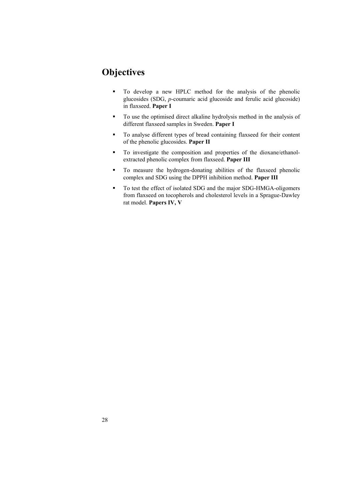# **Objectives**

- To develop a new HPLC method for the analysis of the phenolic glucosides (SDG, *p*-coumaric acid glucoside and ferulic acid glucoside) in flaxseed. **Paper I**
- To use the optimised direct alkaline hydrolysis method in the analysis of different flaxseed samples in Sweden. **Paper I**
- To analyse different types of bread containing flaxseed for their content of the phenolic glucosides. **Paper II**
- To investigate the composition and properties of the dioxane/ethanolextracted phenolic complex from flaxseed. **Paper III**
- To measure the hydrogen-donating abilities of the flaxseed phenolic complex and SDG using the DPPH inhibition method. **Paper III**
- To test the effect of isolated SDG and the major SDG-HMGA-oligomers from flaxseed on tocopherols and cholesterol levels in a Sprague-Dawley rat model. **Papers IV, V**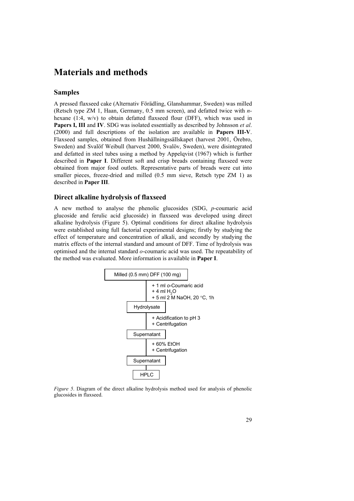## **Materials and methods**

### **Samples**

A pressed flaxseed cake (Alternativ Förädling, Glanshammar, Sweden) was milled (Retsch type ZM 1, Haan, Germany, 0.5 mm screen), and defatted twice with *n*hexane (1:4, w/v) to obtain defatted flaxseed flour (DFF), which was used in **Papers I, III** and **IV**. SDG was isolated essentially as described by Johnsson *et al*. (2000) and full descriptions of the isolation are available in **Papers III-V**. Flaxseed samples, obtained from Hushållningssällskapet (harvest 2001, Örebro, Sweden) and Svalöf Weibull (harvest 2000, Svalöv, Sweden), were disintegrated and defatted in steel tubes using a method by Appelqvist (1967) which is further described in **Paper I**. Different soft and crisp breads containing flaxseed were obtained from major food outlets. Representative parts of breads were cut into smaller pieces, freeze-dried and milled (0.5 mm sieve, Retsch type ZM 1) as described in **Paper III**.

### **Direct alkaline hydrolysis of flaxseed**

A new method to analyse the phenolic glucosides (SDG, *p*-coumaric acid glucoside and ferulic acid glucoside) in flaxseed was developed using direct alkaline hydrolysis (Figure 5). Optimal conditions for direct alkaline hydrolysis were established using full factorial experimental designs; firstly by studying the effect of temperature and concentration of alkali, and secondly by studying the matrix effects of the internal standard and amount of DFF. Time of hydrolysis was optimised and the internal standard *o*-coumaric acid was used. The repeatability of the method was evaluated. More information is available in **Paper I**.



*Figure 5*. Diagram of the direct alkaline hydrolysis method used for analysis of phenolic glucosides in flaxseed.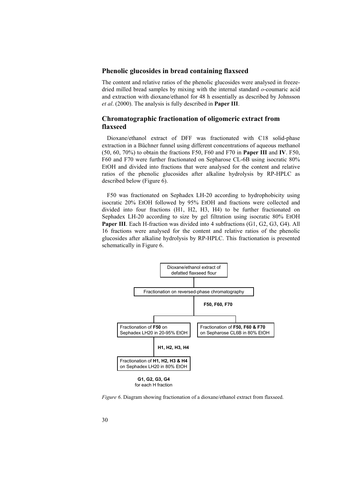#### **Phenolic glucosides in bread containing flaxseed**

The content and relative ratios of the phenolic glucosides were analysed in freezedried milled bread samples by mixing with the internal standard *o*-coumaric acid and extraction with dioxane/ethanol for 48 h essentially as described by Johnsson *et al*. (2000). The analysis is fully described in **Paper III**.

## **Chromatographic fractionation of oligomeric extract from flaxseed**

Dioxane/ethanol extract of DFF was fractionated with C18 solid-phase extraction in a Büchner funnel using different concentrations of aqueous methanol (50, 60, 70%) to obtain the fractions F50, F60 and F70 in **Paper III** and **IV**. F50, F60 and F70 were further fractionated on Sepharose CL-6B using isocratic 80% EtOH and divided into fractions that were analysed for the content and relative ratios of the phenolic glucosides after alkaline hydrolysis by RP-HPLC as described below (Figure 6).

F50 was fractionated on Sephadex LH-20 according to hydrophobicity using isocratic 20% EtOH followed by 95% EtOH and fractions were collected and divided into four fractions (H1, H2, H3, H4) to be further fractionated on Sephadex LH-20 according to size by gel filtration using isocratic 80% EtOH **Paper III**. Each H-fraction was divided into 4 subfractions (G1, G2, G3, G4). All 16 fractions were analysed for the content and relative ratios of the phenolic glucosides after alkaline hydrolysis by RP-HPLC. This fractionation is presented schematically in Figure 6.



for each H fraction

*Figure 6*. Diagram showing fractionation of a dioxane/ethanol extract from flaxseed.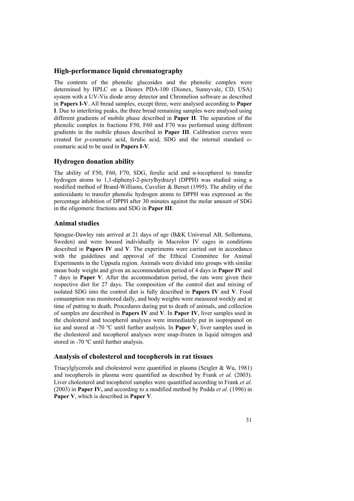## **High-performance liquid chromatography**

The contents of the phenolic glucosides and the phenolic complex were determined by HPLC on a Dionex PDA-100 (Dionex, Sunnyvale, CD, USA) system with a UV-Vis diode array detector and Chromelion software as described in **Papers I-V**. All bread samples, except three, were analysed according to **Paper I**. Due to interfering peaks, the three bread remaining samples were analysed using different gradients of mobile phase described in **Paper II**. The separation of the phenolic complex in fractions F50, F60 and F70 was performed using different gradients in the mobile phases described in **Paper III**. Calibration curves were created for *p*-coumaric acid, ferulic acid, SDG and the internal standard *o*coumaric acid to be used in **Papers I-V**.

#### **Hydrogen donation ability**

The ability of F50, F60, F70, SDG, ferulic acid and  $\alpha$ -tocopherol to transfer hydrogen atoms to 1,1-diphenyl-2-picrylhydrazyl (DPPH) was studied using a modified method of Brand-Williams, Cuvelier & Berset (1995). The ability of the antioxidants to transfer phenolic hydrogen atoms to DPPH was expressed as the percentage inhibition of DPPH after 30 minutes against the molar amount of SDG in the oligomeric fractions and SDG in **Paper III**.

#### **Animal studies**

Sprague-Dawley rats arrived at 21 days of age (B&K Universal AB, Sollentuna, Sweden) and were housed individually in Macrolon IV cages in conditions described in **Papers IV** and **V**. The experiments were carried out in accordance with the guidelines and approval of the Ethical Committee for Animal Experiments in the Uppsala region. Animals were divided into groups with similar mean body weight and given an accommodation period of 4 days in **Paper IV** and 7 days in **Paper V**. After the accommodation period, the rats were given their respective diet for 27 days. The composition of the control diet and mixing of isolated SDG into the control diet is fully described in **Papers IV** and **V**. Food consumption was monitored daily, and body weights were measured weekly and at time of putting to death. Procedures during put to death of animals, and collection of samples are described in **Papers IV** and **V**. In **Paper IV**, liver samples used in the cholesterol and tocopherol analyses were immediately put in isopropanol on ice and stored at -70 ºC until further analysis. In **Paper V**, liver samples used in the cholesterol and tocopherol analyses were snap-frozen in liquid nitrogen and stored in -70 ºC until further analysis.

### **Analysis of cholesterol and tocopherols in rat tissues**

Triacylglycerols and cholesterol were quantified in plasma (Seigler & Wu, 1981) and tocopherols in plasma were quantified as described by Frank *et al.* (2003). Liver cholesterol and tocopherol samples were quantified according to Frank *et al.* (2003) in **Paper IV,** and according to a modified method by Podda *et al.* (1996) in **Paper V**, which is described in **Paper V**.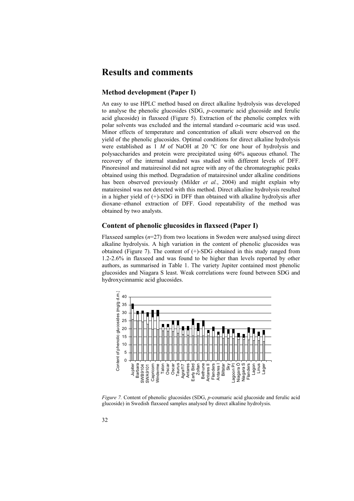## **Results and comments**

### **Method development (Paper I)**

An easy to use HPLC method based on direct alkaline hydrolysis was developed to analyse the phenolic glucosides (SDG, *p*-coumaric acid glucoside and ferulic acid glucoside) in flaxseed (Figure 5). Extraction of the phenolic complex with polar solvents was excluded and the internal standard *o*-coumaric acid was used. Minor effects of temperature and concentration of alkali were observed on the yield of the phenolic glucosides. Optimal conditions for direct alkaline hydrolysis were established as 1 *M* of NaOH at 20 °C for one hour of hydrolysis and polysaccharides and protein were precipitated using 60% aqueous ethanol. The recovery of the internal standard was studied with different levels of DFF. Pinoresinol and matairesinol did not agree with any of the chromatographic peaks obtained using this method. Degradation of matairesinol under alkaline conditions has been observed previously (Milder *et al.*, 2004) and might explain why matairesinol was not detected with this method. Direct alkaline hydrolysis resulted in a higher yield of (+)-SDG in DFF than obtained with alkaline hydrolysis after dioxane–ethanol extraction of DFF. Good repeatability of the method was obtained by two analysts.

## **Content of phenolic glucosides in flaxseed (Paper I)**

Flaxseed samples (*n*=27) from two locations in Sweden were analysed using direct alkaline hydrolysis. A high variation in the content of phenolic glucosides was obtained (Figure 7). The content of (+)-SDG obtained in this study ranged from 1.2-2.6% in flaxseed and was found to be higher than levels reported by other authors, as summarised in Table 1. The variety Jupiter contained most phenolic glucosides and Niagara S least. Weak correlations were found between SDG and hydroxycinnamic acid glucosides.



*Figure 7.* Content of phenolic glucosides (SDG, *p*-coumaric acid glucoside and ferulic acid glucoside) in Swedish flaxseed samples analysed by direct alkaline hydrolysis.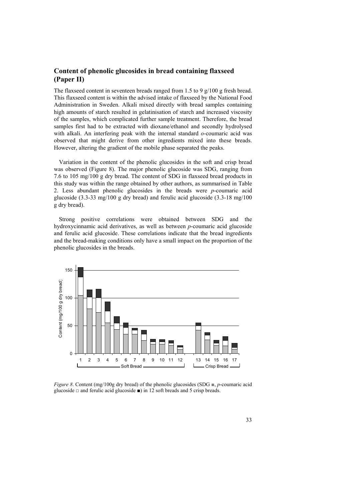## **Content of phenolic glucosides in bread containing flaxseed (Paper II)**

The flaxseed content in seventeen breads ranged from 1.5 to 9 g/100 g fresh bread. This flaxseed content is within the advised intake of flaxseed by the National Food Administration in Sweden. Alkali mixed directly with bread samples containing high amounts of starch resulted in gelatinisation of starch and increased viscosity of the samples, which complicated further sample treatment. Therefore, the bread samples first had to be extracted with dioxane/ethanol and secondly hydrolysed with alkali. An interfering peak with the internal standard *o*-coumaric acid was observed that might derive from other ingredients mixed into these breads. However, altering the gradient of the mobile phase separated the peaks.

Variation in the content of the phenolic glucosides in the soft and crisp bread was observed (Figure 8). The major phenolic glucoside was SDG, ranging from 7.6 to 105 mg/100 g dry bread. The content of SDG in flaxseed bread products in this study was within the range obtained by other authors, as summarised in Table 2. Less abundant phenolic glucosides in the breads were *p*-coumaric acid glucoside (3.3-33 mg/100 g dry bread) and ferulic acid glucoside (3.3-18 mg/100 g dry bread).

Strong positive correlations were obtained between SDG and the hydroxycinnamic acid derivatives, as well as between *p*-coumaric acid glucoside and ferulic acid glucoside. These correlations indicate that the bread ingredients and the bread-making conditions only have a small impact on the proportion of the phenolic glucosides in the breads.



*Figure 8*. Content (mg/100g dry bread) of the phenolic glucosides (SDG ■, *p*-coumaric acid glucoside  $\Box$  and ferulic acid glucoside  $\Box$ ) in 12 soft breads and 5 crisp breads.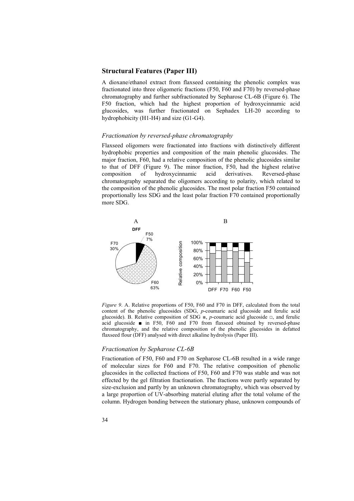## **Structural Features (Paper III)**

A dioxane/ethanol extract from flaxseed containing the phenolic complex was fractionated into three oligomeric fractions (F50, F60 and F70) by reversed-phase chromatography and further subfractionated by Sepharose CL-6B (Figure 6). The F50 fraction, which had the highest proportion of hydroxycinnamic acid glucosides, was further fractionated on Sephadex LH-20 according to hydrophobicity (H1-H4) and size (G1-G4).

#### *Fractionation by reversed-phase chromatography*

Flaxseed oligomers were fractionated into fractions with distinctively different hydrophobic properties and composition of the main phenolic glucosides. The major fraction, F60, had a relative composition of the phenolic glucosides similar to that of DFF (Figure 9). The minor fraction, F50, had the highest relative composition of hydroxycinnamic acid derivatives. Reversed-phase chromatography separated the oligomers according to polarity, which related to the composition of the phenolic glucosides. The most polar fraction F50 contained proportionally less SDG and the least polar fraction F70 contained proportionally more SDG.



*Figure 9*. A. Relative proportions of F50, F60 and F70 in DFF, calculated from the total content of the phenolic glucosides (SDG, *p*-coumaric acid glucoside and ferulic acid glucoside). B. Relative composition of SDG  $\blacksquare$ , *p*-coumaric acid glucoside  $\Box$ , and ferulic acid glucoside ■ in F50, F60 and F70 from flaxseed obtained by reversed-phase chromatography, and the relative composition of the phenolic glucosides in defatted flaxseed flour (DFF) analysed with direct alkaline hydrolysis (Paper III).

#### *Fractionation by Sepharose CL-6B*

Fractionation of F50, F60 and F70 on Sepharose CL-6B resulted in a wide range of molecular sizes for F60 and F70. The relative composition of phenolic glucosides in the collected fractions of F50, F60 and F70 was stable and was not effected by the gel filtration fractionation. The fractions were partly separated by size-exclusion and partly by an unknown chromatography, which was observed by a large proportion of UV-absorbing material eluting after the total volume of the column. Hydrogen bonding between the stationary phase, unknown compounds of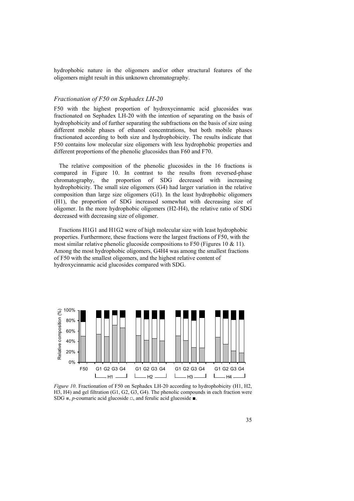hydrophobic nature in the oligomers and/or other structural features of the oligomers might result in this unknown chromatography.

#### *Fractionation of F50 on Sephadex LH-20*

F50 with the highest proportion of hydroxycinnamic acid glucosides was fractionated on Sephadex LH-20 with the intention of separating on the basis of hydrophobicity and of further separating the subfractions on the basis of size using different mobile phases of ethanol concentrations, but both mobile phases fractionated according to both size and hydrophobicity. The results indicate that F50 contains low molecular size oligomers with less hydrophobic properties and different proportions of the phenolic glucosides than F60 and F70.

The relative composition of the phenolic glucosides in the 16 fractions is compared in Figure 10. In contrast to the results from reversed-phase chromatography, the proportion of SDG decreased with increasing hydrophobicity. The small size oligomers (G4) had larger variation in the relative composition than large size oligomers (G1). In the least hydrophobic oligomers (H1), the proportion of SDG increased somewhat with decreasing size of oligomer. In the more hydrophobic oligomers (H2-H4), the relative ratio of SDG decreased with decreasing size of oligomer.

Fractions H1G1 and H1G2 were of high molecular size with least hydrophobic properties. Furthermore, these fractions were the largest fractions of F50, with the most similar relative phenolic glucoside compositions to F50 (Figures 10  $&$  11). Among the most hydrophobic oligomers, G4H4 was among the smallest fractions of F50 with the smallest oligomers, and the highest relative content of hydroxycinnamic acid glucosides compared with SDG.



*Figure 10*. Fractionation of F50 on Sephadex LH-20 according to hydrophobicity (H1, H2, H3, H4) and gel filtration (G1, G2, G3, G4). The phenolic compounds in each fraction were SDG  $\blacksquare$ , *p*-coumaric acid glucoside  $\blacksquare$ , and ferulic acid glucoside  $\blacksquare$ .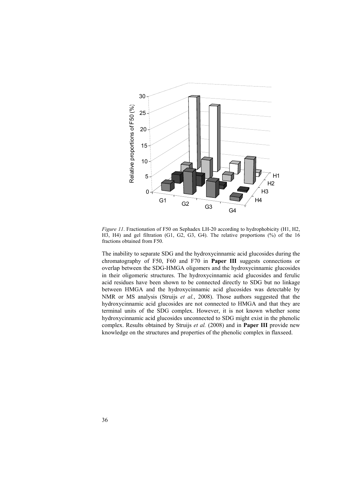

*Figure 11*. Fractionation of F50 on Sephadex LH-20 according to hydrophobicity (H1, H2, H3, H4) and gel filtration (G1, G2, G3, G4). The relative proportions (%) of the 16 fractions obtained from F50.

The inability to separate SDG and the hydroxycinnamic acid glucosides during the chromatography of F50, F60 and F70 in **Paper III** suggests connections or overlap between the SDG-HMGA oligomers and the hydroxycinnamic glucosides in their oligomeric structures. The hydroxycinnamic acid glucosides and ferulic acid residues have been shown to be connected directly to SDG but no linkage between HMGA and the hydroxycinnamic acid glucosides was detectable by NMR or MS analysis (Struijs *et al.*, 2008). Those authors suggested that the hydroxycinnamic acid glucosides are not connected to HMGA and that they are terminal units of the SDG complex. However, it is not known whether some hydroxycinnamic acid glucosides unconnected to SDG might exist in the phenolic complex. Results obtained by Struijs *et al.* (2008) and in **Paper III** provide new knowledge on the structures and properties of the phenolic complex in flaxseed.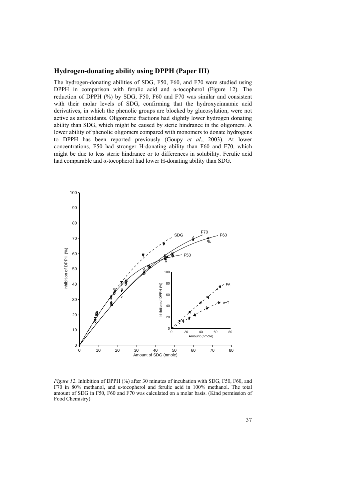## **Hydrogen-donating ability using DPPH (Paper III)**

The hydrogen-donating abilities of SDG, F50, F60, and F70 were studied using DPPH in comparison with ferulic acid and  $\alpha$ -tocopherol (Figure 12). The reduction of DPPH (%) by SDG, F50, F60 and F70 was similar and consistent with their molar levels of SDG, confirming that the hydroxycinnamic acid derivatives, in which the phenolic groups are blocked by glucosylation, were not active as antioxidants. Oligomeric fractions had slightly lower hydrogen donating ability than SDG, which might be caused by steric hindrance in the oligomers. A lower ability of phenolic oligomers compared with monomers to donate hydrogens to DPPH has been reported previously (Goupy *et al*., 2003). At lower concentrations, F50 had stronger H-donating ability than F60 and F70, which might be due to less steric hindrance or to differences in solubility. Ferulic acid had comparable and α-tocopherol had lower H-donating ability than SDG.



*Figure 12*. Inhibition of DPPH (%) after 30 minutes of incubation with SDG, F50, F60, and F70 in 80% methanol, and α-tocopherol and ferulic acid in 100% methanol. The total amount of SDG in F50, F60 and F70 was calculated on a molar basis. (Kind permission of Food Chemistry)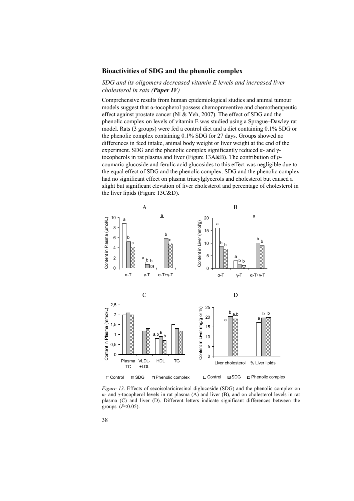## **Bioactivities of SDG and the phenolic complex**

## *SDG and its oligomers decreased vitamin E levels and increased liver cholesterol in rats (Paper IV)*

Comprehensive results from human epidemiological studies and animal tumour models suggest that  $\alpha$ -tocopherol possess chemopreventive and chemotherapeutic effect against prostate cancer (Ni & Yeh, 2007). The effect of SDG and the phenolic complex on levels of vitamin E was studied using a Sprague–Dawley rat model. Rats (3 groups) were fed a control diet and a diet containing 0.1% SDG or the phenolic complex containing 0.1% SDG for 27 days. Groups showed no differences in feed intake, animal body weight or liver weight at the end of the experiment. SDG and the phenolic complex significantly reduced  $\alpha$ - and γtocopherols in rat plasma and liver (Figure 13A&B). The contribution of *p*coumaric glucoside and ferulic acid glucosides to this effect was negligible due to the equal effect of SDG and the phenolic complex. SDG and the phenolic complex had no significant effect on plasma triacylglycerols and cholesterol but caused a slight but significant elevation of liver cholesterol and percentage of cholesterol in the liver lipids (Figure 13C&D).



*Figure 13.* Effects of secoisolariciresinol diglucoside (SDG) and the phenolic complex on α- and γ-tocopherol levels in rat plasma (A) and liver (B), and on cholesterol levels in rat plasma (C) and liver (D). Different letters indicate significant differences between the groups (*P*<0.05).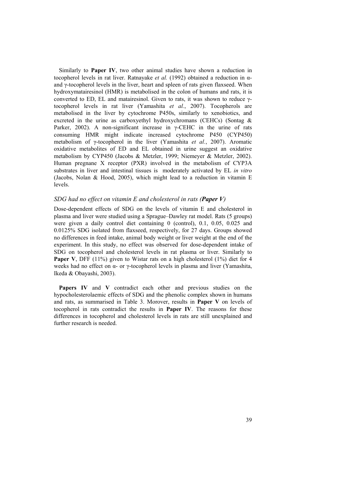Similarly to **Paper IV**, two other animal studies have shown a reduction in tocopherol levels in rat liver. Ratnayake *et al.* (1992) obtained a reduction in αand γ-tocopherol levels in the liver, heart and spleen of rats given flaxseed. When hydroxymatairesinol (HMR) is metabolised in the colon of humans and rats, it is converted to ED, EL and matairesinol. Given to rats, it was shown to reduce γtocopherol levels in rat liver (Yamashita *et al.*, 2007). Tocopherols are metabolised in the liver by cytochrome P450s, similarly to xenobiotics, and excreted in the urine as carboxyethyl hydroxychromans (CEHCs) (Sontag & Parker, 2002). A non-significant increase in  $\gamma$ -CEHC in the urine of rats consuming HMR might indicate increased cytochrome P450 (CYP450) metabolism of γ-tocopherol in the liver (Yamashita *et al.*, 2007). Aromatic oxidative metabolites of ED and EL obtained in urine suggest an oxidative metabolism by CYP450 (Jacobs & Metzler, 1999; Niemeyer & Metzler, 2002). Human pregnane X receptor (PXR) involved in the metabolism of CYP3A substrates in liver and intestinal tissues is moderately activated by EL *in vitro* (Jacobs, Nolan & Hood, 2005), which might lead to a reduction in vitamin E levels.

## *SDG had no effect on vitamin E and cholesterol in rats (Paper V)*

Dose-dependent effects of SDG on the levels of vitamin E and cholesterol in plasma and liver were studied using a Sprague–Dawley rat model. Rats (5 groups) were given a daily control diet containing 0 (control), 0.1, 0.05, 0.025 and 0.0125% SDG isolated from flaxseed, respectively, for 27 days. Groups showed no differences in feed intake, animal body weight or liver weight at the end of the experiment. In this study, no effect was observed for dose-dependent intake of SDG on tocopherol and cholesterol levels in rat plasma or liver. Similarly to **Paper V**, DFF (11%) given to Wistar rats on a high cholesterol (1%) diet for 4 weeks had no effect on α- or γ-tocopherol levels in plasma and liver (Yamashita, Ikeda & Obayashi, 2003).

**Papers IV** and **V** contradict each other and previous studies on the hypocholesterolaemic effects of SDG and the phenolic complex shown in humans and rats, as summarised in Table 3. Morover, results in **Paper V** on levels of tocopherol in rats contradict the results in **Paper IV**. The reasons for these differences in tocopherol and cholesterol levels in rats are still unexplained and further research is needed.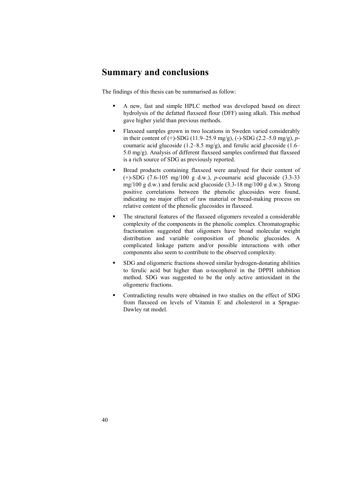# **Summary and conclusions**

The findings of this thesis can be summarised as follow:

- A new, fast and simple HPLC method was developed based on direct hydrolysis of the defatted flaxseed flour (DFF) using alkali. This method gave higher yield than previous methods.
- **Flaxseed samples grown in two locations in Sweden varied considerably** in their content of (+)-SDG (11.9–25.9 mg/g), (-)-SDG (2.2–5.0 mg/g), *p*coumaric acid glucoside (1.2–8.5 mg/g), and ferulic acid glucoside (1.6– 5.0 mg/g). Analysis of different flaxseed samples confirmed that flaxseed is a rich source of SDG as previously reported.
- Bread products containing flaxseed were analysed for their content of (+)-SDG (7.6-105 mg/100 g d.w.), *p*-coumaric acid glucoside (3.3-33 mg/100 g d.w.) and ferulic acid glucoside (3.3-18 mg/100 g d.w.). Strong positive correlations between the phenolic glucosides were found, indicating no major effect of raw material or bread-making process on relative content of the phenolic glucosides in flaxseed.
- The structural features of the flaxseed oligomers revealed a considerable complexity of the components in the phenolic complex. Chromatographic fractionation suggested that oligomers have broad molecular weight distribution and variable composition of phenolic glucosides. A complicated linkage pattern and/or possible interactions with other components also seem to contribute to the observed complexity.
- SDG and oligomeric fractions showed similar hydrogen-donating abilities to ferulic acid but higher than α-tocopherol in the DPPH inhibition method. SDG was suggested to be the only active antioxidant in the oligomeric fractions.
- Contradicting results were obtained in two studies on the effect of SDG from flaxseed on levels of Vitamin E and cholesterol in a Sprague-Dawley rat model.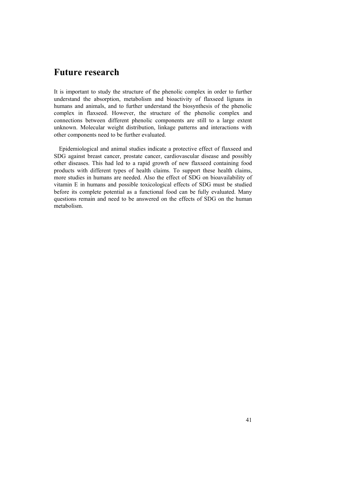## **Future research**

It is important to study the structure of the phenolic complex in order to further understand the absorption, metabolism and bioactivity of flaxseed lignans in humans and animals, and to further understand the biosynthesis of the phenolic complex in flaxseed. However, the structure of the phenolic complex and connections between different phenolic components are still to a large extent unknown. Molecular weight distribution, linkage patterns and interactions with other components need to be further evaluated.

Epidemiological and animal studies indicate a protective effect of flaxseed and SDG against breast cancer, prostate cancer, cardiovascular disease and possibly other diseases. This had led to a rapid growth of new flaxseed containing food products with different types of health claims. To support these health claims, more studies in humans are needed. Also the effect of SDG on bioavailability of vitamin E in humans and possible toxicological effects of SDG must be studied before its complete potential as a functional food can be fully evaluated. Many questions remain and need to be answered on the effects of SDG on the human metabolism.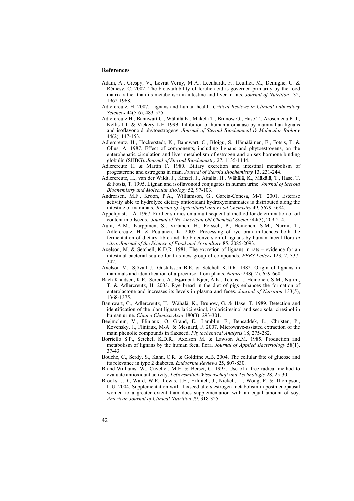#### **References**

- Adam, A., Crespy, V., Levrat-Verny, M-A., Leenhardt, F., Leuillet, M., Demigné, C. & Rémésy, C. 2002. The bioavailability of ferulic acid is governed primarily by the food matrix rather than its metabolism in intestine and liver in rats. *Journal of Nutrition* 132, 1962-1968.
- Adlercreutz, H. 2007. Lignans and human health. *Critical Reviews in Clinical Laboratory Sciences* 44(5-6), 483-525.
- Adlercreutz H., Bannwart C., Wähälä K., Mäkelä T., Brunow G., Hase T., Arosemena P. J., Kellis J.T. & Vickery L.E. 1993. Inhibition of human aromatase by mammalian lignans and isoflavonoid phytoestrogens. *Journal of Steroid Biochemical & Molecular Biology* 44(2), 147-153.
- Adlercreutz, H., Höckerstedt, K., Bannwart, C., Bloigu, S., Hämäläinen, E., Fotsis, T. & Ollus, A. 1987. Effect of components, including lignans and phytoestrogens, on the enterohepatic circulation and liver metabolism of estrogen and on sex hormone binding globulin (SHBG). *Journal of Steroid Biochemistry* 27, 1135-1144.
- Adlercreutz H & Martin F. 1980. Biliary excretion and intestinal metabolism of progesterone and estrogens in man. *Journal of Steroid Biochemistry* 13, 231-244.
- Adlercreutz, H., van der Wildt, J., Kinzel, J., Attalla, H., Wähälä, K., Mäkälä, T., Hase, T. & Fotsis, T. 1995. Lignan and isoflavonoid conjugates in human urine. *Journal of Steroid Biochemistry and Molecular Biology* 52, 97-103.
- Andreasen, M.F., Kroon, P.A., Williamson, G., Garcia-Conesa, M-T. 2001. Esterase activity able to hydrolyze dietary antioxidant hydroxycinnamates is distributed along the intestine of mammals. *Journal of Agricultural and Food Chemistry* 49, 5679-5684.
- Appelqvist, L.Å. 1967. [Further studies on a multisequential method for determination of oil](http://springerlink.metapress.com/content/6022834w7458105u/?p=203c608b751c42a18118f6aa84564e02&pi=34)  [content in oilseeds](http://springerlink.metapress.com/content/6022834w7458105u/?p=203c608b751c42a18118f6aa84564e02&pi=34). *Journal of the American Oil Chemists' Society* 44(3), 209-214.
- Aura, A-M., Karppinen, S., Virtanen, H., Forssell, P., Heinonen, S-M., Nurmi, T., Adlercreutz, H. & Poutanen, K. 2005. Processing of rye bran influences both the fermentation of dietary fibre and the bioconversion of lignans by human faecal flora *in vitro*. *Journal of the Science of Food and Agriculture* 85, 2085-2093.
- Axelson, M. & Setchell, K.D.R. 1981. The excretion of lignans in rats evidence for an intestinal bacterial source for this new group of compounds. *FEBS Letters* 123, 2, 337- 342.
- Axelson M., Sjövall J., Gustafsson B.E. & Setchell K.D.R. 1982. Origin of lignans in mammals and identification of a precursor from plants. *Nature* 298(12), 659-660.
- Bach Knudsen, K.E., Serena, A., Bjørnbak Kjær, A.K., Tetens, I., Heinonen, S-M., Nurmi, T. & Adlercreutz, H. 2003. Rye bread in the diet of pigs enhances the formation of enterolactone and increases its levels in plasma and feces. *Journal of Nutrition* 133(5), 1368-1375.
- Bannwart, C., Adlercreutz, H., Wähälä, K., Brunow, G. & Hase, T. 1989. Detection and identification of the plant lignans lariciresinol, isolariciresinol and secoisolariciresinol in human urine. *Clinica Chimica Acta* 180(3): 293-301.
- Beejmohun, V., Fliniaux, O. Grand, E., Lamblin, F., Bensaddek, L., Christen, P., Kovensky, J., Fliniaux, M-A. & Mesnard, F. 2007. Microwave-assisted extraction of the main phenolic compounds in flaxseed. *Phytochemical Analysis* 18, 275-282.
- Borriello S.P., Setchell K.D.R., Axelson M. & Lawson A.M. 1985. Production and metabolism of lignans by the human fecal flora. *Journal of Applied Bacteriology* 58(1), 37-43.
- Bouché, C., Serdy, S., Kahn, C.R. & Goldfine A.B. 2004. The cellular fate of glucose and its relevance in type 2 diabetes. *Endocrine Reviews* 25, 807-830.
- Brand-Williams, W., Cuvelier, M.E. & Berset, C. 1995. Use of a free radical method to evaluate antioxidant activity. *Lebensmittel-Wissenschaft und Technologie* 28, 25-30.
- Brooks, J.D., Ward, W.E., Lewis, J.E., Hilditch, J., Nickell, L., Wong, E. & Thompson, L.U. 2004. Supplementation with flaxseed alters estrogen metabolism in postmenopausal women to a greater extent than does supplementation with an equal amount of soy. *American Journal of Clinical Nutrition* 79, 318-325.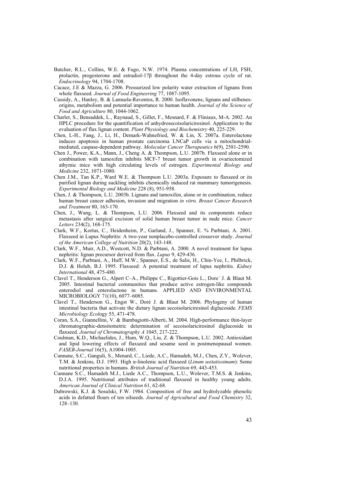- Butcher, R.L., Collins, W.E. & Fugo, N.W. 1974. Plasma concentrations of LH, FSH, prolactin, progesterone and estradiol-17β throughout the 4-day estrous cycle of rat. *Endocrinology* 94, 1704-1708.
- Cacace, J.E & Mazza, G. 2006. Pressurized low polarity water extraction of lignans from whole flaxseed. *Journal of Food Engineering* 77, 1087-1095.
- Cassidy, A., Hanley, B. & Lamuela-Raventos, R. 2000. Isoflavonens, lignans and stilbenesorigins, metabolism and potential importance to human health. *Journal of the Science of Food and Agriculture* 80, 1044-1062.
- Charlet, S., Bensaddek, L., Raynaud, S., Gillet, F., Mesnard, F. & Fliniaux, M-A. 2002. An HPLC procedure for the quantification of anhydrosecoisolariciresinol. Application to the evaluation of flax lignan content. *Plant Physiology and Biochemistry* 40, 225-229.
- Chen, L-H., Fang, J., Li, H., Demark-Wahnefried, W. & Lin, X. 2007a. Enterolactone induces apoptosis in human prostate carcinoma LNCaP cells via a mitochondrialmediated, caspase-dependent pathway. *Molecular Cancer Therapeutics* 6(9), 2581-2590.
- Chen J., Power, K.A., Mann, J., Cheng A. & Thompson, L.U. 2007b. Flaxseed alone or in combination with tamoxifen inhibits MCF-7 breast tumor growth in ovariectomized athymic mice with high circulating levels of estrogen. *Experimental Biology and Medicine* 232, 1071-1080.
- Chen J.M., Tan K.P., Ward W.E. & Thompson L.U. 2003a. Exposure to flaxseed or its purified lignan during suckling inhibits chemically induced rat mammary tumorigenesis. *Experimental Biology and Medicine* 228 (8), 951-958.
- Chen, J. & Thompson, L.U. 2003b. Lignans and tamoxifen, alone or in combination, reduce human breast cancer adhesion, invasion and migration *in vitr*o. *Breast Cancer Research and Treatment* 80, 163-170.
- Chen, J., Wang, L. & Thompson, L.U. 2006. Flaxseed and its components reduce metastasis after surgical excision of solid human breast tumor in nude mice. *Cancer Letters* 234(2), 168-175.
- Clark, W.F., Kortas, C., Heidenheim, P., Garland, J., Spanner, E. % Parbtani, A. 2001. Flaxseed in Lupus Nephritis: A two-year nonplacebo-controlled crossover study. *Journal of the American College of Nutrition* 20(2), 143-148.
- Clark, W.F., Muir, A.D., Westcott, N.D. & Parbtani, A. 2000. A novel treatment for lupus nephritis: lignan precursor derived from flax. *Lupus* 9, 429-436.
- Clark, W.F., Parbtani, A., Huff, M.W., Spanner, E.S., de Salis, H., Chin-Yee, I., Philbrick, D.J. & Holub, B.J. 1995. Flaxseed: A potential treatment of lupus nephritis. *Kidney International* 48, 475-480.
- Clavel T., Henderson G., Alpert C–A., Philippe C., Rigottier-Gois L., Dore´ J. & Blaut M. 2005. Intestinal bacterial communities that produce active estrogen-like compounds enterodiol and enterolactone in humans. APPLIED AND ENVIRONMENTAL MICROBIOLOGY 71(10), 6077–6085.
- Clavel T., Henderson G., Engst W., Doré J. & Blaut M. 2006. Phylogeny of human intestinal bacteria that activate the dietary lignan secoisolariciresinol diglucoside. *FEMS Microbiology Ecol*ogy 55, 471-478.
- Coran, S.A., Giannellini, V. & Bambagiotti-Alberti, M. 2004. High-performance thin-layer chromatographic-densitometric determination of secoisolariciresinol diglucoside in flaxseed. *Journal of Chromatography A* 1045, 217-222.
- Coulman, K.D., Michaelides, J., Hum, W.Q., Liu, Z. & Thompson, L.U. 2002. Antioxidant and lipid lowering effects of flaxseed and sesame seed in postmenopausal women. *FASEB-Journal* 16(5), A1004-1005.
- Cunnane, S.C., Ganguli, S., Menard, C., Liede, A.C., Hamadeh, M.J., Chen, Z.Y., Wolever, T.M. & Jenkins, D.J. 1993. High α-linolenic acid flaxseed (*Linum usitatissimum*): Some nutritional properties in humans. *British Journal of Nutrition* 69, 443-453.
- Cunnane S.C., Hamadeh M.J., Liede A.C., Thompson, L.U., Wolever, T.M.S. & Jenkins, D.J.A. 1995. Nutritional attributes of traditional flaxseed in healthy young adults. *American Journal of Clinical Nutrition* 61, 62-68.
- Dabrowski, K.J. & Sosulski, F.W. 1984. Composition of free and hydrolyzable phenolic acids in defatted flours of ten oilseeds. *Journal of Agricultural and Food Chemistry* 32, 128–130.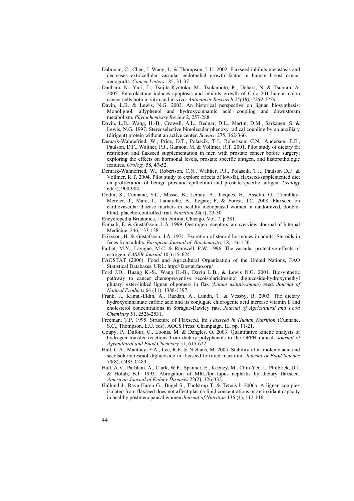- Dabrosin, C., Chen, J. Wang, L. & Thompson, L.U. 2002. Flaxseed inhibits metastasis and decreases extracellular vascular endothelial growth factor in human breast cancer xenografts. *Cancer Letters* 185, 31-37.
- Danbara, N., Yuri, T., Tsujita-Kyutoku, M., Tsukamoto, R., Uehara, N. & Tsubura, A. 2005. Enterolactone induces apoptosis and inhibits growth of Colo 201 human colon cancer cells both in vitro and in vivo. *Anticancer Research 25(3B), 2269-2276.*
- Davin, L.B. & Lewis, N.G. 2003. An historical perspective on lignan biosynthesis: Monolignol, allyphenol and hydroxycinnamic acid coupling and downstream metabolism. *Phytochemistry Review* 2, 257-288.
- Davin, L.B., Wang, H.-B., Crowell, A.L., Bedgar, D.L., Martin, D.M., Sarkanen, S. & Lewis, N.G. 1997. Stereoselective bimolecular phenoxy radical coupling by an auxiliary (dirigent) protein without an active center. *Science* 275, 362-366.
- Demark-Wahnefried, W., Price, D.T., Polascik, T.J., Robertson, C.N., Anderson, E.E., Paulson, D.F., Walther, P.J., Gannon, M. & Vollmer, R.T. 2001. Pilot study of dietary fat restriction and flaxseed supplementation in men with prostate cancer before surgery: exploring the effects on hormonal levels, prostate specific antigen, and histopathologic features. *Urology* 58, 47-52.
- Demark-Wahnefried, W., Robertson, C.N., Walther, P.J., Polascik, T.J., Paulson D.F. & Vollmer, R.T. 2004. Pilot study to explore effects of low-fat, flaxseed-supplemented diet on proliferation of benign prostatic epithelium and prostate-specific antigen. *Urology* 63(5), 900-904.
- Dodin, S., Cunnane, S.C., Masse, B., Lemay, A., Jacques, H., Asselin, G., Tremblay-Mercier, J., Marc, I., Lamarche, B., Legare, F. & Forest, J.C. 2008. Flaxseed on cardiovascular disease markers in healthy menopausal women: a randomized, doubleblind, placebo-controlled trial. *Nutrition* 24(1), 23-30.
- Encyclopedia Britannica. 15th edition, Chicago. Vol. 7, p 381.
- Enmark, E. & Gustafsson, J. Å. 1999. Oestrogen receptors: an overview. Journal of Internal Medicine, 246, 133-138.
- Eriksson, H. & Gustafsson, J.Å. 1971. Excretion of steroid hormones in adults: Steroids in feces from adults. *European Journal of Biochemistry* 18, 146-150.
- Farhat, M.Y., Lavigne, M.C. & Ramwell, P.W. 1996. The vascular protective effects of estrogen. *FASEB Journal* 10, 615–624.
- FAOSTAT (2006). Food and Agricultural Organization of the United Nations, FAO Statistical Databases, URL: http://faostat.fao.org/
- Ford J.D., Huang K.-S., Wang H.-B., Davin L.B., & Lewis N.G. 2001. Biosynthetic pathway to cancer chemopreventive secoisolariciresinol diglucoside-hydroxymethyl glutaryl ester-linked lignan oligomers in flax (*Linum usitatissimum*) seed. *Journal of Natural Products* 64 (11), 1388-1397.
- Frank, J., Kamal-Eldin, A., Razdan, A., Lundh, T. & Vessby, B. 2003. The dietary hydroxycinnamate caffeic acid and its conjugate chlorogenic acid increase vitamin E and cholesterol concentrations in Sprague-Dawley rats. *Journal of Agricultural and Food Chemistry* 51, 2526-2531.
- Freeman, T.P. 1995. Structure of Flaxseed. In: *Flaxseed in Human Nutrition* (Cunnane, S.C., Thompson, L.U. eds). AOCS Press: Champaign, IL, pp. 11-21.
- Goupy, P., Dufour, C., Loonis, M. & Dangles, O. 2003. Quantitative kinetic analysis of hydrogen transfer reactions from dietary polyphenols to the DPPH radical. *Journal of Agricultural and Food Chemistry* 51, 615-622.
- Hall, C.A., Manthey, F.A., Lee, R.E. & Niehaus, M. 2005. Stability of α-linolenic acid and secoisolariciresinol diglucoside in flaxseed-fortified macaroni. *Journal of Food Science* 70(8), C483-C489.
- Hall, A.V., Parbtani, A., Clark, W.F., Spanner, E., Keeney, M., Chin-Yee, I., Philbrick, D.J. & Holub, B.J. 1993. Abrogation of MRL/lpr lupus nephritis by dietary flaxseed. *American Journal of Kidney Diseases* 22(2), 326-332.
- [Hallund J](http://apps.isiknowledge.com/WoS/CIW.cgi?SID=X2Lp1n@jHfKf8EAIOJL&Func=OneClickSearch&field=AU&val=Hallund+J&curr_doc=3/1&Form=FullRecordPage&doc=3/1)., [Ravn-Haren G](http://apps.isiknowledge.com/WoS/CIW.cgi?SID=X2Lp1n@jHfKf8EAIOJL&Func=OneClickSearch&field=AU&val=Ravn-Haren+G&curr_doc=3/1&Form=FullRecordPage&doc=3/1)., [Bugel S.](http://apps.isiknowledge.com/WoS/CIW.cgi?SID=X2Lp1n@jHfKf8EAIOJL&Func=OneClickSearch&field=AU&val=Bugel+S&curr_doc=3/1&Form=FullRecordPage&doc=3/1), [Tholstrup T.](http://apps.isiknowledge.com/WoS/CIW.cgi?SID=X2Lp1n@jHfKf8EAIOJL&Func=OneClickSearch&field=AU&val=Tholstrup+T&curr_doc=3/1&Form=FullRecordPage&doc=3/1) & [Tetens I.](http://apps.isiknowledge.com/WoS/CIW.cgi?SID=X2Lp1n@jHfKf8EAIOJL&Func=OneClickSearch&field=AU&val=Tetens+I&curr_doc=3/1&Form=FullRecordPage&doc=3/1) 2006a. A lignan complex isolated from flaxseed does not affect plasma lipid concentrations or antioxidant capacity in healthy postmenopausal women *Journal of Nutrition* 136 (1), 112-116.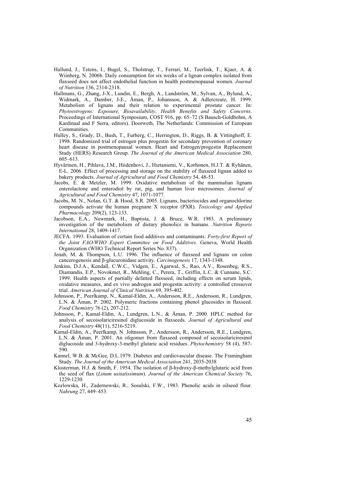- Hallund, J., Tetens, I., Bugel, S., Tholstrup, T., Ferrari, M., Teerlink, T., Kjaer, A. & Wiinberg, N. 2006b. Daily consumption for six weeks of a lignan complex isolated from flaxseed does not affect endothelial function in health postmenopausal women. *Journal of Nutrition* 136, 2314-2318.
- Hallmans, G., Zhang, J-X., Lundin, E., Bergh, A., Landström, M., Sylvan, A., Bylund, A., Widmark, A., Damber, J-E., Åman, P., Johansson, A. & Adlercreutz, H. 1999. Metabolism of lignans and their relation to experimental prostate cancer. In: *Phytoestrogens: Exposure, Bioavailability, Health Benefits and Safety Concerns*. Proceedings of International Symposium, COST 916, pp. 65–72 (S Bausch-Goldbohm, A Kardinaal and F Serra, editors). Doorweth, The Netherlands: Commission of European **Communities**
- Hulley, S., Grady, D., Bush, T., Furberg, C., Herrington, D., Riggs, B. & Vittinghoff, E. 1998. Randomized trial of estrogen plus progestin for secondary prevention of coronary heart disease in postmenopausal women. Heart and Estrogen/progestin Replacement Study (HERS) Research Group. *The Journal of the American Medical Association* 280, 605–613.
- Hyvärinen, H., Pihlava, J.M., Hiidenhovi, J., Hietaniemi, V., Korhonen, H.J.T. & Ryhänen, E-L. 2006. Effect of processing and storage on the stability of flaxseed lignan added to bakery products. *Journal of Agricultural and Food Chemistry* 54, 48-53.
- Jacobs, E. & Metzler, M. 1999. Oxidative metabolism of the mammalian lignans enterolactone and enterodiol by rat, pig, and human liver microsomes. *Journal of Agricultural and Food Chemistry* 47, 1071-1077.
- Jacobs, M. N., Nolan, G.T. & Hood, S.R. 2005. Lignans, bacteriocides and organochlorine compounds activate the human pregnane X receptor (PXR). *Toxicology and Applied Pharmacology* 209(2), 123-133.
- Jacobson, E.A., Newmark, H., Baptista, J. & Bruce, W.R. 1983. A preliminary investigation of the metabolism of dietary phenolics in humans. *Nutrition Reports International* 28, 1409-1417.
- JECFA. 1993. Evaluation of certain food additives and contaminants: *Forty-first Report of the Joint FAO/WHO Expert Committee on Food Additives.* Geneva, World Health Organization (WHO Technical Report Series No. 837).
- Jenab, M. & Thompson, L.U. 1996. The influence of flaxseed and lignans on colon cancerogenesis and β-glucuronidase activity. *Carcinogenesis* 17, 1343-1348.
- Jenkins, D.J.A., Kendall, C.W.C., Vidgen, E., Agarwal, S., Rao, A.V., Rosenbeg, R.S., Diamandis, E.P., Novokmet, R., Mehling, C., Perera, T., Griffin, L.C. & Cunnane, S.C. 1999. Health aspects of partially defatted flaxseed, including effects on serum lipids, oxidative measures, and ex vivo androgen and progestin activity: a controlled crossover trial. *American Journal of Clinical Nutrition* 69, 395-402.
- Johnsson, P., Peerlkamp, N., Kamal-Eldin, A., Andersson, R.E., Andersson, R., Lundgren, L.N. & Åman, P. 2002. Polymeric fractions containing phenol glucosides in flaxseed. *Food Chemistry* 76 (2), 207-212.
- Johnsson, P., Kamal-Eldin, A., Lundgren, L.N., & Åman, P. 2000. HPLC method for analysis of secoisolariciresinol diglucoside in flaxseeds. *Journal of Agricultural and Food Chemistry* 48(11), 5216-5219.
- Kamal-Eldin, A., Peerlkamp, N. Johnsson, P., Andersson, R., Andersson, R.E., Lundgren, L.N. & Åman, P. 2001. An oligomer from flaxseed composed of secoisolariciresinol diglucoside and 3-hydroxy-3-methyl glutaric acid residues. *Phytochemistry* 58 (4), 587- 590.
- Kannel, W.B. & McGee, D.L.1979. Diabetes and cardiovascular disease. The Framingham Study. *The Journal of the American Medical Association* 241, 2035-2038
- Klosterman, H.J. & Smith, F. 1954. The isolation of β-hydroxy-β-methylglutaric acid from the seed of flax (*Linum usitatissimum*). *Journal of the American Chemical Society* 76, 1229-1230.
- Kozlowska, H., Zadernowski, R., Sosulski, F.W., 1983. Phenolic acids in oilseed flour. *Nahrung* 27, 449–453.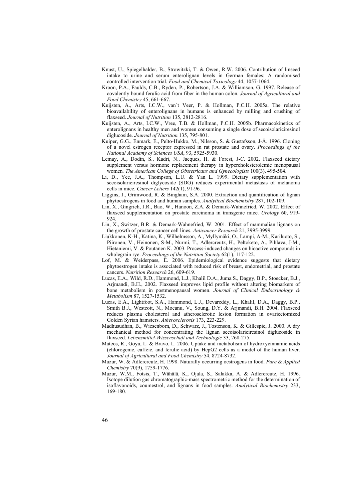- Knust, U., Spiegelhalder, B., Strowitzki, T. & Owen, R.W. 2006. Contribution of linseed intake to urine and serum enterolignan levels in German females: A randomised controlled intervention trial. *Food and Chemical Toxicology* 44, 1057-1064.
- Kroon, P.A., Faulds, C.B., Ryden, P., Robertson, J.A. & Williamson, G. 1997. Release of covalently bound ferulic acid from fiber in the human colon. *Journal of Agricultural and Food Chemistry* 45, 661-667.
- Kuijsten, A., Arts, I.C.W., van´t Veer, P. & Hollman, P.C.H. 2005a. The relative bioavailability of enterolignans in humans is enhanced by milling and crushing of flaxseed. *Journal of Nutrition* 135, 2812-2816.
- Kuijsten, A., Arts, I.C.W., Vree, T.B. & Hollman, P.C.H. 2005b. Pharmacokinetics of enterolignans in healthy men and women consuming a single dose of secoisolariciresinol diglucoside. *Journal of Nutrition* 135, 795-801.
- Kuiper, G.G., Enmark, E., Pelto-Hukko, M., Nilsson, S. & Gustafsson, J-Å. 1996. Cloning of a novel estrogen receptor expressed in rat prostate and ovary. *Proceedings of the National Academy of Sciences USA*, 93, 5925-5930.
- Lemay, A., Dodin, S., Kadri, N., Jacques, H. & Forest, J-C. 2002. Flaxseed dietary supplement versus hormone replacement therapy in hypercholesterolemic menopausal women*. The American College of Obstetricans and Gynecologists* 100(3), 495-504.
- Li, D., Yee, J.A., Thompson, L.U. & Yan L. 1999. Dietary supplementation with secoisolariciresinol diglycoside (SDG) reduces experimental metastasis of melanoma cells in mice. *Cancer Letters* 142(1), 91-96.
- Liggins, J., Grimwood, R. & Bingham, S.A. 2000. Extraction and quantification of lignan phytoestrogens in food and human samples. *Analytical Biochemistry* 287, 102-109.
- Lin, X., Gingrich, J.R., Bao, W., Hanoon, Z.A. & Demark-Wahnefried, W. 2002. Effect of flaxseed supplementation on prostate carcinoma in transgenic mice. *Urology* 60, 919- 924.
- Lin, X., Switzer, B.R. & Demark-Wahnefried, W. 2001. Effect of mammalian lignans on the growth of prostate cancer cell lines. *Anticancer Research* 21, 3995-3999.
- Liukkonen, K-H., Katina, K., Wilhelmsson, A., Myllymäki, O., Lampi, A-M., Kariluoto, S., Piironen, V., Heinonen, S-M., Nurmi, T., Adlercreutz, H., Peltoketo, A., Pihlava, J-M., Hietaniemi, V. & Poutanen K. 2003. Process-induced changes on bioactive compounds in wholegrain rye. *Proceedings of the Nutrition Society* 62(1), 117-122.
- Lof, M. & Weiderpass, E. 2006. Epidemiological evidence suggests that dietary phytoestrogen intake is associated with reduced risk of breast, endometrial, and prostate cancers. *Nutrition Research* 26, 609-619.
- Lucas, E.A., Wild, R.D., Hammond, L.J., Khalil D.A., Juma S., Daggy, B.P., Stoecker, B.J., Arjmandi, B.H., 2002. Flaxseed improves lipid profile without altering biomarkers of bone metabolism in postmenopausal women. *Journal of Clinical Endocrinology & Metabolism* 87, 1527-1532.
- Lucas, E.A., Lightfoot, S.A., Hammond, L.J., Devareddy, L., Khalil, D.A., Daggy, B.P., Smith B.J., Westcott, N., Mocanu, V., Soung, D.Y. & Arjmandi, B.H. 2004. Flaxseed reduces plasma cholesterol and atherosclerotic lesion formation in ovariectomized Golden Syrian hamsters. *Atherosclerosis* 173, 223-229.
- Madhusudhan, B., Wiesenborn, D., Schwarz, J., Tostenson, K. & Gillespie, J. 2000. A dry mechanical method for concentrating the lignan secoisolariciresinol diglucoside in flaxseed. *Lebensmittel-Wissenschaft und Technologie* 33, 268-275.
- Mateos, R., Goya, L. & Bravo, L. 2006. Uptake and metabolism of hydroxycinnamic acids (chlorogenic, caffeic, and ferulic acid) by HepG2 cells as a model of the human liver. *Journal of Agricultural and Food Chemistry* 54, 8724-8732.
- Mazur, W. & Adlercreutz, H. 1998. Naturally occurring oestrogens in food. *Pure & Applied Chemistry* 70(9), 1759-1776.
- Mazur, W.M., Fotsis, T., Wähälä, K., Ojala, S., Salakka, A. & Adlercreutz, H. 1996. Isotope dilution gas chromatographic-mass spectrometric method for the determination of isoflavonoids, coumestrol, and lignans in food samples. *Analytical Biochemistry* 233, 169-180.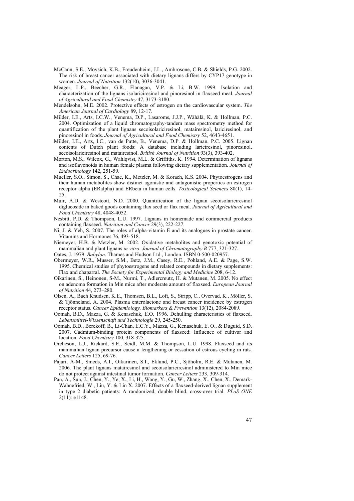- McCann, S.E., Moysich, K.B., Freudenheim, J.L., Ambrosone, C.B. & Shields, P.G. 2002. The risk of breast cancer associated with dietary lignans differs by CYP17 genotype in women. *Journal of Nutrition* 132(10), 3036-3041.
- Meager, L.P., Beecher, G.R., Flanagan, V.P. & Li, B.W. 1999. Isolation and characterization of the lignans isolariciresinol and pinoresinol in flaxseed meal. *Journal of Agricultural and Food Chemistry* 47, 3173-3180.
- Mendelsohn, M.E. 2002. Protective effects of estrogen on the cardiovascular system. *The American Journal of Cardiology* 89, 12-17.
- Milder, I.E., Arts, I.C.W., Venema, D.P., Lasaroms, J.J.P., Wähälä, K. & Hollman, P.C. 2004. Optimization of a liquid chromatography-tandem mass spectrometry method for quantification of the plant lignans secoisolariciresinol, matairesinol, lariciresinol, and pinoresinol in foods. *Journal of Agricultural and Food Chemistry* 52, 4643-4651.
- Milder, I.E., Arts, I.C., van de Putte, B., Venema, D.P. & Hollman, P.C. 2005. Lignan contents of Dutch plant foods: A database including lariciresinol, pinoresinol, secoisolariciresinol and matairesinol. *British Journal of Nutrition* 93(3), 393-402.
- Morton, M.S., Wilcox, G., Wahlqvist, M.L. & Griffiths, K. 1994. Determination of lignans and isoflavonoids in human female plasma following dietary supplementation. *Journal of Endocrinology* 142, 251-59.
- Mueller, S.O., Simon, S., Chae, K., Metzler, M. & Korach, K.S. 2004. Phytoestrogens and their human metabolites show distinct agonistic and antagonistic properties on estrogen receptor alpha (ERalpha) and ERbeta in human cells. *Toxicological Sciences* 80(1), 14- 25.
- Muir, A.D. & Westcott, N.D. 2000. Quantification of the lignan secoisolariciresinol diglucoside in baked goods containing flax seed or flax meal. *Journal of Agricultural and Food Chemistry* 48, 4048-4052.
- Nesbitt, P.D. & Thompson, L.U. 1997. Lignans in homemade and commercial products containing flaxseed. *Nutrition and Cancer* 29(3), 222-227.
- Ni, J. & Yeh, S. 2007. The roles of alpha-vitamin E and its analogues in prostate cancer. Vitamins and Hormones 76, 493-518.
- Niemeyer, H.B. & Metzler, M. 2002. Oxidative metabolites and genotoxic potential of mammalian and plant lignans *in vitro*. *Journal of Chromatography B* 777, 321-327.
- Oates, J. 1979. *Babylon*. Thames and Hudson Ltd., London. ISBN 0-500-020957.
- Obermeyer, W.R., Musser, S.M., Betz, J.M., Casey, R.E., Pohland, A.E. & Page, S.W. 1995. Chemical studies of phytoestrogens and related compounds in dietary supplements: Flax and chaparral. *The Society for Experimental Biology and Medicine* 208, 6-12.
- Oikarinen, S., Heinonen, S-M., Nurmi, T., Adlercreutz, H. & Mutanen, M. 2005. No effect on adenoma formation in Min mice after moderate amount of flaxseed. *European Journal of Nutrition* 44, 273–280.
- Olsen, A., Bach Knudsen, K.E., Thomsen, B.L., Loft, S., Stripp, C., Overvad, K., Möller, S. & Tjönneland, A. 2004. Plasma enterolactone and breast cancer incidence by estrogen receptor status. *Cancer Epidemiology, Biomarkers & Prevention* 13(12), 2084-2089.
- Oomah, B.D., Mazza, G. & Kenaschuk, E.O. 1996. Dehulling characteristics of flaxseed. *Lebensmittel-Wissenschaft und Technologie* 29, 245-250.
- Oomah, B.D., Berekoff, B., Li-Chan, E.C.Y., Mazza, G., Kenaschuk, E. O., & Duguid, S.D. 2007. Cadmium-binding protein components of flaxseed: Influence of cultivar and location. *Food Chemistry* 100, 318-325.
- Orcheson, L.J., Rickard, S.E., Seidl, M.M. & Thompson, L.U. 1998. Flaxseed and its mammalian lignan precursor cause a lengthening or cessation of estrous cycling in rats. *Cancer Letters* 125, 69-76.
- Pajari, A-M., Smeds, A.I., Oikarinen, S.I., Eklund, P.C., Sjöholm, R.E. & Mutanen, M. 2006. The plant lignans matairesinol and secoisolariciresinol administered to Min mice do not protect against intestinal tumor formation. *Cancer Letters* 233, 309-314.
- Pan, A., Sun, J., Chen, Y., Ye, X., Li, H., Wang, Y., Gu, W., Zhang, X., Chen, X., Demark-Wahnefried, W., Liu, Y. & Lin X. 2007. Effects of a flaxseed-derived lignan supplement in type 2 diabetic patients: A randomized, double blind, cross-over trial. *PLoS ONE* 2(11): e1148.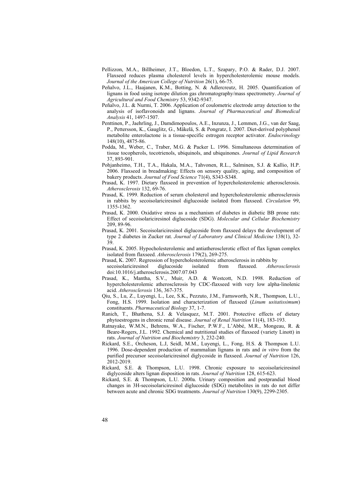- Pellizzon, M.A., Billheimer, J.T., Bloedon, L.T., Szapary, P.O. & Rader, D.J. 2007. Flaxseed reduces plasma cholesterol levels in hypercholesterolemic mouse models. *Journal of the American College of Nutrition* 26(1), 66-75.
- Peñalvo, J.L., Haajanen, K.M., Botting, N. & Adlercreutz, H. 2005. Quantification of lignans in food using isotope dilution gas chromatography/mass spectrometry. *Journal of Agricultural and Food Chemistry* 53, 9342-9347.
- Peñalvo, J.L. & Nurmi, T. 2006. Application of coulometric electrode array detection to the analysis of isoflavonoids and lignans. *Journal of Pharmaceutical and Biomedical Analysis* 41, 1497-1507.
- Penttinen, P., Jaehrling, J., Damdimopoulos, A.E., Inzunza, J., Lemmen, J.G., van der Saag, P., Pettersson, K., Gauglitz, G., Mäkelä, S. & Pongratz, I. 2007. Diet-derived polyphenol metabolite enterolactone is a tissue-specific estrogen receptor activator. *Endocrinology* 148(10), 4875-86.
- Podda, M., Weber, C., Traber, M.G. & Packer L. 1996. Simultaneous determination of tissue tocopherols, tocotrienols, ubiquinols, and ubiquinones. *Journal of Lipid Research* 37, 893-901.
- Pohjanheimo, T.H., T.A., Hakala, M.A., Tahvonen, R.L., Salminen, S.J. & Kallio, H.P. 2006. Flaxseed in breadmaking: Effects on sensory quality, aging, and composition of bakery products. *Journal of Food Science* 71(4), S343-S348.
- Prasad, K. 1997. Dietary flaxseed in prevention of hypercholesterolemic atherosclerosis. *Atherosclerosis* 132, 69-76.
- Prasad, K. 1999. Reduction of serum cholesterol and hypercholesterolemic atherosclerosis in rabbits by secoisolariciresinol diglucoside isolated from flaxseed. *Circulation* 99, 1355-1362.
- Prasad, K. 2000. Oxidative stress as a mechanism of diabetes in diabetic BB prone rats: Effect of secoisolariciresinol diglucoside (SDG). *Molecular and Cellular Biochemistry* 209, 89-96.
- Prasad, K. 2001. Secoisolariciresinol diglucoside from flaxseed delays the development of type 2 diabetes in Zucker rat. *Journal of Laboratory and Clinical Medicine* 138(1), 32- 39.
- Prasad, K. 2005. Hypocholesterolemic and antiatherosclerotic effect of flax lignan complex isolated from flaxseed. *Atherosclerosis* 179(2), 269-275.
- Prasad, K. 2007. Regression of hypercholesterolemic atherosclerosis in rabbits by
- secoisolariciresinol diglucoside isolated from flaxseed. *Atherosclerosis* doi:10.1016/j.atherosclerosis.2007.07.043
- Prasad, K., Mantha, S.V., Muir, A.D. & Westcott, N.D. 1998. Reduction of hypercholesterolemic atherosclerosis by CDC-flaxseed with very low alpha-linolenic acid. *Atherosclerosis* 136, 367-375.
- Qiu, S., Lu, Z., Luyengi, L., Lee, S.K., Pezzuto, J.M., Farnsworth, N.R., Thompson, L.U., Fong, H.S. 1999. Isolation and characterization of flaxseed (*Linum usitatissimum*) constituents. *Pharmaceutical Biology* 37, 1-7.
- Ranich, T., Bhathena, S.J. & [Velasquez, M.T](http://apps.isiknowledge.com/WoS/CIW.cgi?SID=N2doNEDH49GalDDJ34a&Func=OneClickSearch&field=AU&val=Velasquez+MT&ut=000173725400003&auloc=3&curr_doc=7/4&Form=FullRecordPage&doc=7/4). 2001. Protective effects of dietary phytoestrogens in chronic renal disease. *Journal of Renal Nutrition* 11(4), 183-193.
- Ratnayake, W.M.N., Behrens, W.A., Fischer, P.W.F., L'Abbé, M.R., Mongeau, R. & Beare-Rogers, J.L. 1992. Chemical and nutritional studies of flaxseed (variety Linott) in rats. *Journal of Nutrition and Biochemistry* 3, 232-240.
- Rickard, S.E., Orcheson, L.J, Seidl, M.M., Luyengi, L., Fong, H.S. & Thompson L.U. 1996. Dose-dependent production of mammalian lignans in rats and *in vitro* from the purified precursor secoisolariciresinol diglycoside in flaxseed. *Journal of Nutrition* 126, 2012-2019.
- Rickard, S.E. & Thompson, L.U. 1998. Chronic exposure to secoisolariciresinol diglycoside alters lignan disposition in rats. *Journal of Nutrition* 128, 615-623.
- Rickard, S.E. & Thompson, L.U. 2000a. Urinary composition and postprandial blood changes in 3H-secoisolariciresinol diglucoside (SDG) metabolites in rats do not differ between acute and chronic SDG treatments. *Journal of Nutrition* 130(9), 2299-2305.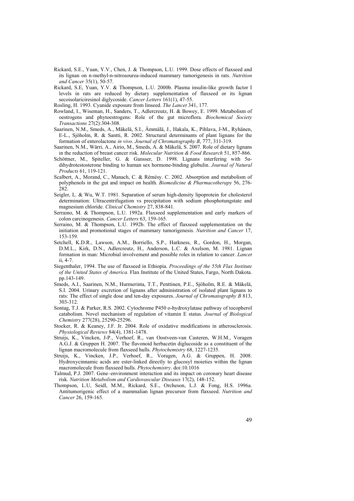- Rickard, S.E., Yuan, Y.V., Chen, J. & Thompson, L.U. 1999. Dose effects of flaxseed and its lignan on n-methyl-n-nitrosourea-induced mammary tumorigenesis in rats. *Nutrition and Cancer* 35(1), 50-57.
- Rickard, S.E, Yuan, Y.V. & Thompson, L.U. 2000b. Plasma insulin-like growth factor I levels in rats are reduced by dietary supplementation of flaxseed or its lignan secoisolariciresinol diglycoside. *Cancer Letters* 161(1), 47-55.

Rosling, H. 1993. Cyanide exposure from linseed. *The Lancet* 341, 177.

- Rowland, I., Wiseman, H., Sanders, T., Adlercreutz, H. & Bowey, E. 1999. Metabolism of oestrogens and phytoestrogens: Role of the gut microflora. *Biochemical Society Transactions* 27(2):304-308.
- Saarinen, N.M., Smeds, A., Mäkelä, S.I., Ämmälä, J., Hakala, K., Pihlava, J-M., Ryhänen, E-L., Sjöholm, R. & Santti, R. 2002. Structural determinants of plant lignans for the formation of enterolactone *in vivo*. *Journal of Chromatography B*, 777, 311-319.
- Saarinen, N.M., Wärri, A., Airio, M., Smeds, A. & Mäkelä, S. 2007. Role of dietary lignans in the reduction of breast cancer risk. *Molecular Nutrition & Food Research* 51, 857-866.
- Schöttner, M., Spiteller, G. & Gansser, D. 1998. Lignans interfering with 5αdihydrotestosterone binding to human sex hormone-binding globulin. *Journal of Natural Products* 61, 119-121.
- Scalbert, A., Morand, C., Manach, C. & Rémésy. C. 2002. Absorption and metabolism of polyphenols in the gut and impact on health. *Biomedicine & Pharmacotherapy* 56, 276- 282
- Seigler, L. & Wu, W.T. 1981. Separation of serum high-density lipoprotein for cholesterol determination: Ultracentrifugation vs precipitation with sodium phosphotungstate and magnesium chloride. *Clinical Chemistry* 27, 838-841.
- Serraino, M. & Thompson, L.U. 1992a. Flaxseed supplementation and early markers of colon carcinogenesis. *Cancer Letters* 63, 159-165.
- Serraino, M. & Thompson, L.U. 1992b. The effect of flaxseed supplementation on the initiation and promotional stages of mammary tumorigenesis. *Nutrition and Cancer* 17, 153-159.
- Setchell, K.D.R., Lawson, A.M., Borriello, S.P., Harkness, R., Gordon, H., Morgan, D.M.L., Kirk, D.N., Adlercreutz, H., Anderson, L.C. & Axelson, M. 1981. Lignan formation in man: Microbial involvement and possible roles in relation to cancer. *Lancet*  $ii$ , 4-7.
- Siegenthaler, 1994. The use of flaxseed in Ethiopia. *Proceedings of the 55th Flax Institute of the United States of America*. Flax Institute of the United States, Fargo, North Dakota. pp.143-149.
- Smeds, A.I., Saarinen, N.M., Hurmerinta, T.T., Penttinen, P.E., Sjöholm, R.E. & Mäkelä, S.I. 2004. Urinary excretion of lignans after administration of isolated plant lignans to rats: The effect of single dose and ten-day exposures. *Journal of Chromatography B* 813, 303-312.
- Sontag, T.J. & Parker, R.S. 2002. Cytochrome P450 o-hydroxylatase pathway of tocopherol catabolism. Novel mechanism of regulation of vitamin E status. *Journal of Biological Chemistry* 277(28), 25290-25296.
- Stocker, R. & Keaney, J.F. Jr. 2004. Role of oxidative modifications in atherosclerosis. *Physiological Reviews* 84(4), 1381-1478.
- Struijs, K., Vincken, J-P., Verhoef, R., van Oostveen-van Casteren, W.H.M., Voragen A.G.J. & Gruppen H. 2007. The flavonoid herbacetin diglucoside as a constituent of the lignan macromolecule from flaxseed hulls. *Phytochemistry* 68, 1227-1235.
- Struijs, K., Vincken, J.P., Verhoef, R., Voragen, A.G. & Gruppen, H. 2008. Hydroxycinnamic acids are ester-linked directly to glucosyl moieties within the lignan macromolecule from flaxseed hulls. *Phytochemistry*. doi:10.1016
- Talmud, P.J. 2007. Gene–environment interaction and its impact on coronary heart disease risk. *Nutrition Metabolism and Cardiovascular Diseases* 17(2), 148-152.
- Thompson, L.U, Seidl, M.M., Rickard, S.E., Orcheson, L.J. & Fong, H.S. 1996a. Antitumorigenic effect of a mammalian lignan precursor from flaxseed. *Nutrition and Cancer* 26, 159-165.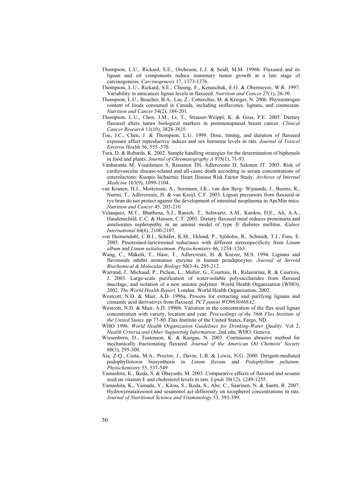- Thompson, L.U., Rickard, S.E., Orcheson, L.J. & Seidl, M.M. 1996b. Flaxseed and its lignan and oil components reduce mammary tumor growth at a late stage of carcinogenesis. *Carcinogenesis* 17, 1373-1376.
- Thompson, L.U., Rickard, S.E., Cheung, F., Kenaschuk, E.O. & Obermeyer, W.R. 1997. Variability in anticancer lignan levels in flaxseed. *Nutrition and Cancer* 27(1), 26-30.
- Thompson, L.U., Boucher, B.A., Liu, Z., Cotterchio, M. & Kreiger, N. 2006. Phytoestrogen content of foods consumed in Canada, including isoflavones, lignans, and coumestan. *Nutrition and Cancer* 54(2), 184-201.
- Thompson, L.U., Chen, J.M., Li, T., Strasser-Weippl, K. & Goss, P.E. 2005. Dietary flaxseed alters tumor biological markers in postmenopausal breast cancer. *Clinical Cancer Research* 11(10), 3828-3835.
- Tou, J.C., Chen, J. & Thompson, L.U. 1999. Dose, timing, and duration of flaxseed exposure affect reproductive indices and sex hormone levels in rats. *Journal of Toxicol Environ Health* 56, 555–570.
- Tura, D. & Robards, K. 2002. Sample handling strategies for the determination of biphenols in food and plants. *Journal of Chromatography A* 975(1), 71-93.
- Vanharanta M, Voutilainen S, Rissanen TH, Adlercreutz H, Salonen JT. 2003. Risk of cardiovascular disease-related and all-cause death according to serum concentrations of enterolactone: Kuopio Ischaemic Heart Disease Risk Factor Study. *Archives of Internal Medicine* 163(9), 1099-1104.
- van Kranen, H.J., Mortensen, A., Sorensen, I.K., van den Berg- Wijnands, J., Beems, R., Nurmi, T., Adlercreutz, H. & van Kreijl, C.F. 2003. Lignan precursors from flaxseed or rye bran do not protect against the development of intestinal neoplasmia in ApcMin mice. *Nutrition and Cancer* 45, 203-210.
- Velasquez, M.T., [Bhathena, S.J](http://apps.isiknowledge.com/WoS/CIW.cgi?SID=N2doNEDH49GalDDJ34a&Func=OneClickSearch&field=AU&val=Bhathena+SJ&ut=000186431600016&auloc=2&curr_doc=7/3&Form=FullRecordPage&doc=7/3)., [Ranich, T](http://apps.isiknowledge.com/WoS/CIW.cgi?SID=N2doNEDH49GalDDJ34a&Func=OneClickSearch&field=AU&val=Ranich+T&ut=000186431600016&auloc=3&curr_doc=7/3&Form=FullRecordPage&doc=7/3)., [Schwartz, A.M](http://apps.isiknowledge.com/WoS/CIW.cgi?SID=N2doNEDH49GalDDJ34a&Func=OneClickSearch&field=AU&val=Schwartz+AM&ut=000186431600016&auloc=4&curr_doc=7/3&Form=FullRecordPage&doc=7/3)., [Kardon, D.E](http://apps.isiknowledge.com/WoS/CIW.cgi?SID=N2doNEDH49GalDDJ34a&Func=OneClickSearch&field=AU&val=Kardon+DE&ut=000186431600016&auloc=5&curr_doc=7/3&Form=FullRecordPage&doc=7/3)., [Ali, A.A](http://apps.isiknowledge.com/WoS/CIW.cgi?SID=N2doNEDH49GalDDJ34a&Func=OneClickSearch&field=AU&val=Ali+AA&ut=000186431600016&auloc=6&curr_doc=7/3&Form=FullRecordPage&doc=7/3)., Haudenschild, C.C. & [Hansen, C.T](http://apps.isiknowledge.com/WoS/CIW.cgi?SID=N2doNEDH49GalDDJ34a&Func=OneClickSearch&field=AU&val=Hansen+CT&ut=000186431600016&auloc=8&curr_doc=7/3&Form=FullRecordPage&doc=7/3). 2003. Dietary flaxseed meal reduces proteinuria and ameliorates nephropathy in an animal model of type II diabetes mellitus. *Kidney International* 64(6), 2100-2107.
- von Heimendahl, C.B.I., Schäfer, K.M., Eklund, P., Sjöholm, R., Schmidt, T.J., Fuss, E. 2005. Pinoresinol-lariciresinol reductases with different stereospecificity from *Linum album* and *Linum usitatissimum*. *Phytochemistry* 66, 1254–1263.
- Wang, C., Mäkelä, T., Hase, T., Adlercreutz, H. & Kurzer, M.S. 1994. Lignans and flavonoids inhibit aromatase enzyme in human preadipocytes. *Journal of Steroid Biochemical & Molecular Biology* 50(3-4), 205-212.
- Warrand, J., Michaud, P., Pichon, L., Muller, G., Courtois, B., Ralainirina, R. & Courtois, J. 2003. Large-scale purification of water-soluble polysaccharides from flaxseed mucilage, and isolation of a new anionic polymer. World Health Organization (WHO), 2002. *The World Health Report*. London: World Health Organization, 2002.
- Westcott, N.D. & Muir, A.D. 1996a. Process for extracting and purifying lignans and cinnamic acid derivatives from flaxseed. *PCT patent WO9630468A2*.
- Westcott, N.D. & Muir, A.D. 1996b. Variation in the concentration of the flax seed lignan concentration with variety, location and year. *Proceedings of the 56th Flax Institute of the United States.* pp 77-80. Flax Institute of the United States, Fargo, ND.
- WHO 1996. *World Health Organization Guidelines for Drinking-Water Quality.* Vol 2; *Health Criteria and Other Supporting Information*, 2nd edn, WHO, Geneva.
- Wiesenborn, D., Tostenson, K. & Kangas, N. 2003. Continuous abrasive method for mechanically fractionating flaxseed. *Journal of the American Oil Chemists' Society* 80(3), 295-300.
- Xia, Z-Q., Costa, M.A., Proctor, J., Davin, L.B. & Lewis, N.G. 2000. Dirigent-mediated podophyllotoxin biosynthesis in *Linum flavum* and *Podophyllum peltatum*. *Phytochemistry* 55, 537-549
- Yamashita, K., Ikeda, S. & Obayashi, M. 2003. Comparative effects of flaxseed and sesame seed on vitamin E and cholesterol levels in rats. *Lipids* 38(12), 1249-1255.
- Yamashita, K., Yamada, Y., Kitou, S., Ikeda, S., Abe, C., Saarinen, N. & Santti, R. 2007. Hydroxymatairesinol and sesaminol act differently on tocopherol concentrations in rats. *Journal of Nutritional Science and Vitaminology* 53, 393-399.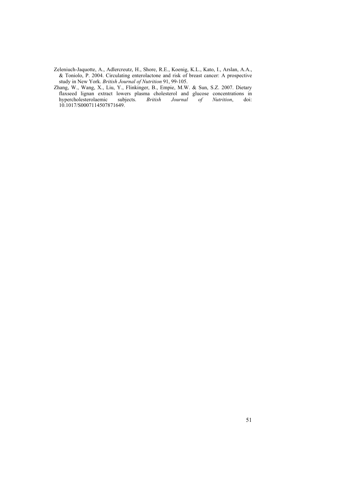- Zeleniuch-Jaquotte, A., Adlercreutz, H., Shore, R.E., Koenig, K.L., Kato, I., Arslan, A.A., & Toniolo, P. 2004. Circulating enterolactone and risk of breast cancer: A prospective study in New York. *British Journal of Nutrition* 91, 99-105.
- Zhang, W., Wang, X., Liu, Y., Flinkinger, B., Empie, M.W. & Sun, S.Z. 2007. Dietary flaxseed lignan extract lowers plasma cholesterol and glucose concentrations in hypercholesterolaemic subjects. *British Journal of Nutrition*, doi: 10.1017/S0007114507871649.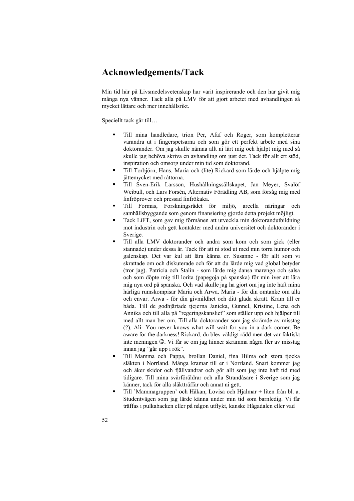# **Acknowledgements/Tack**

Min tid här på Livsmedelsvetenskap har varit inspirerande och den har givit mig många nya vänner. Tack alla på LMV för att gjort arbetet med avhandlingen så mycket lättare och mer innehållsrikt.

Speciellt tack går till…

- Till mina handledare, trion Per, Afaf och Roger, som kompletterar varandra ut i fingerspetsarna och som gör ett perfekt arbete med sina doktorander. Om jag skulle nämna allt ni lärt mig och hjälpt mig med så skulle jag behöva skriva en avhandling om just det. Tack för allt ert stöd, inspiration och omsorg under min tid som doktorand.
- Till Torbjörn, Hans, Maria och (lite) Rickard som lärde och hjälpte mig jättemycket med råttorna.
- Till Sven-Erik Larsson, Hushållningssällskapet, Jan Meyer, Svalöf Weibull, och Lars Forsén, Alternativ Förädling AB, som försåg mig med linfröprover och pressad linfrökaka.
- Till Formas, Forskningsrådet för miljö, areella näringar och samhällsbyggande som genom finansiering gjorde detta projekt möjligt.
- Tack LiFT, som gav mig förmånen att utveckla min doktorandutbildning mot industrin och gett kontakter med andra universitet och doktorander i Sverige.
- Till alla LMV doktorander och andra som kom och som gick (eller stannade) under dessa år. Tack för att ni stod ut med min torra humor och galenskap. Det var kul att lära känna er. Susanne - för allt som vi skrattade om och diskuterade och för att du lärde mig vad global betyder (tror jag). Patricia och Stalin - som lärde mig dansa marengo och salsa och som döpte mig till lorita (papegoja på spanska) för min iver att lära mig nya ord på spanska. Och vad skulle jag ha gjort om jag inte haft mina härliga rumskompisar Maria och Arwa. Maria - för din omtanke om alla och envar. Arwa - för din givmildhet och ditt glada skratt. Kram till er båda. Till de godhjärtade tjejerna Janicka, Gunnel, Kristine, Lena och Annika och till alla på "regeringskansliet" som ställer upp och hjälper till med allt man ber om. Till alla doktorander som jag skrämde av misstag (?). Ali- You never knows what will wait for you in a dark corner. Be aware for the darkness! Rickard, du blev väldigt rädd men det var faktiskt inte meningen ☺. Vi får se om jag hinner skrämma några fler av misstag innan jag "går upp i rök".
- Till Mamma och Pappa, brollan Daniel, fina Hilma och stora tjocka släkten i Norrland. Många kramar till er i Norrland. Snart kommer jag och åker skidor och fjällvandrar och gör allt som jag inte haft tid med tidigare. Till mina svärföräldrar och alla Strandåsare i Sverige som jag känner, tack för alla släktträffar och annat ni gett.
- Till 'Mammagruppen' och Håkan, Lovisa och Hjalmar + liten från bl. a. Studentvägen som jag lärde känna under min tid som barnledig. Vi får träffas i pulkabacken eller på någon utflykt, kanske Hågadalen eller vad